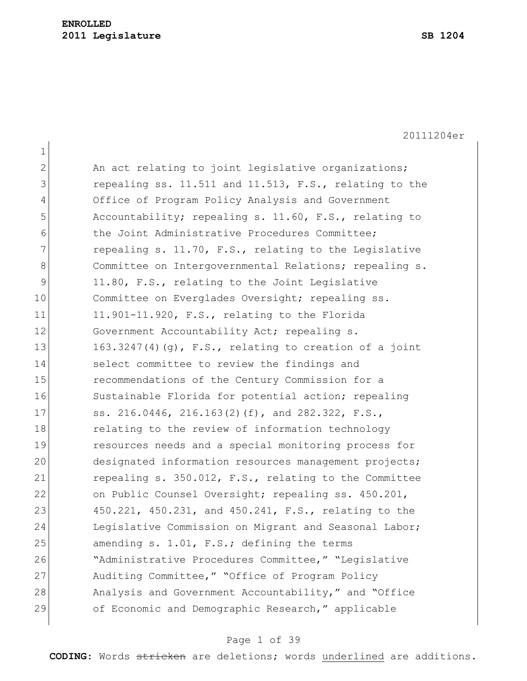1

20111204er

2 An act relating to joint legislative organizations; 3 repealing ss. 11.511 and 11.513, F.S., relating to the 4 Office of Program Policy Analysis and Government 5 Accountability; repealing s. 11.60, F.S., relating to 6 the Joint Administrative Procedures Committee:  $7$  repealing s. 11.70, F.S., relating to the Legislative 8 Committee on Intergovernmental Relations; repealing s. 9 11.80, F.S., relating to the Joint Legislative 10 Committee on Everglades Oversight; repealing ss. 11 11.901-11.920, F.S., relating to the Florida 12 Government Accountability Act; repealing s. 13 163.3247(4)(g), F.S., relating to creation of a joint 14 select committee to review the findings and 15 recommendations of the Century Commission for a 16 Sustainable Florida for potential action; repealing 17 ss. 216.0446, 216.163(2)(f), and 282.322, F.S., 18 relating to the review of information technology 19 resources needs and a special monitoring process for 20 designated information resources management projects; 21 repealing s. 350.012, F.S., relating to the Committee 22 on Public Counsel Oversight; repealing ss. 450.201, 23 450.221, 450.231, and 450.241, F.S., relating to the 24 Legislative Commission on Migrant and Seasonal Labor;  $25$  amending s. 1.01, F.S.; defining the terms 26 "Administrative Procedures Committee," "Legislative 27 Auditing Committee," "Office of Program Policy 28 Analysis and Government Accountability," and "Office 29 of Economic and Demographic Research," applicable

#### Page 1 of 39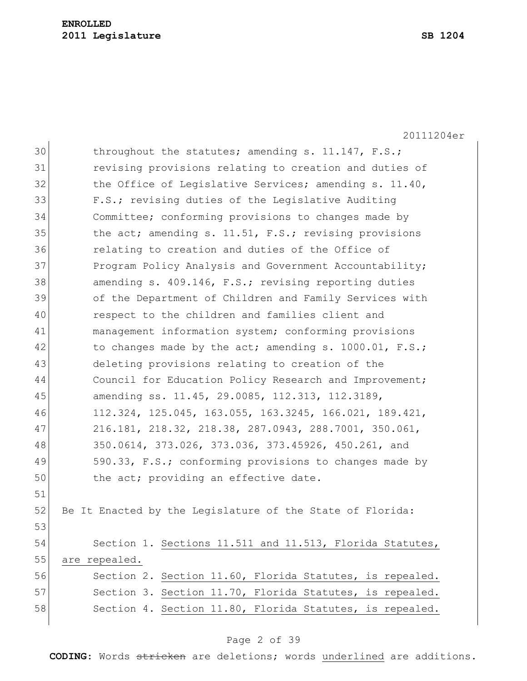|    | 20111204er                                                |  |  |  |  |  |
|----|-----------------------------------------------------------|--|--|--|--|--|
| 30 | throughout the statutes; amending s. 11.147, F.S.;        |  |  |  |  |  |
| 31 | revising provisions relating to creation and duties of    |  |  |  |  |  |
| 32 | the Office of Legislative Services; amending s. 11.40,    |  |  |  |  |  |
| 33 | F.S.; revising duties of the Legislative Auditing         |  |  |  |  |  |
| 34 | Committee; conforming provisions to changes made by       |  |  |  |  |  |
| 35 | the act; amending s. 11.51, F.S.; revising provisions     |  |  |  |  |  |
| 36 | relating to creation and duties of the Office of          |  |  |  |  |  |
| 37 | Program Policy Analysis and Government Accountability;    |  |  |  |  |  |
| 38 | amending s. 409.146, F.S.; revising reporting duties      |  |  |  |  |  |
| 39 | of the Department of Children and Family Services with    |  |  |  |  |  |
| 40 | respect to the children and families client and           |  |  |  |  |  |
| 41 | management information system; conforming provisions      |  |  |  |  |  |
| 42 | to changes made by the act; amending s. 1000.01, F.S.;    |  |  |  |  |  |
| 43 | deleting provisions relating to creation of the           |  |  |  |  |  |
| 44 | Council for Education Policy Research and Improvement;    |  |  |  |  |  |
| 45 | amending ss. 11.45, 29.0085, 112.313, 112.3189,           |  |  |  |  |  |
| 46 | 112.324, 125.045, 163.055, 163.3245, 166.021, 189.421,    |  |  |  |  |  |
| 47 | 216.181, 218.32, 218.38, 287.0943, 288.7001, 350.061,     |  |  |  |  |  |
| 48 | 350.0614, 373.026, 373.036, 373.45926, 450.261, and       |  |  |  |  |  |
| 49 | 590.33, F.S.; conforming provisions to changes made by    |  |  |  |  |  |
| 50 | the act; providing an effective date.                     |  |  |  |  |  |
| 51 |                                                           |  |  |  |  |  |
| 52 | Be It Enacted by the Legislature of the State of Florida: |  |  |  |  |  |
| 53 |                                                           |  |  |  |  |  |
| 54 | Section 1. Sections 11.511 and 11.513, Florida Statutes,  |  |  |  |  |  |
| 55 | are repealed.                                             |  |  |  |  |  |
| 56 | Section 2. Section 11.60, Florida Statutes, is repealed.  |  |  |  |  |  |
| 57 | Section 3. Section 11.70, Florida Statutes, is repealed.  |  |  |  |  |  |
| 58 | Section 4. Section 11.80, Florida Statutes, is repealed.  |  |  |  |  |  |
|    |                                                           |  |  |  |  |  |

# Page 2 of 39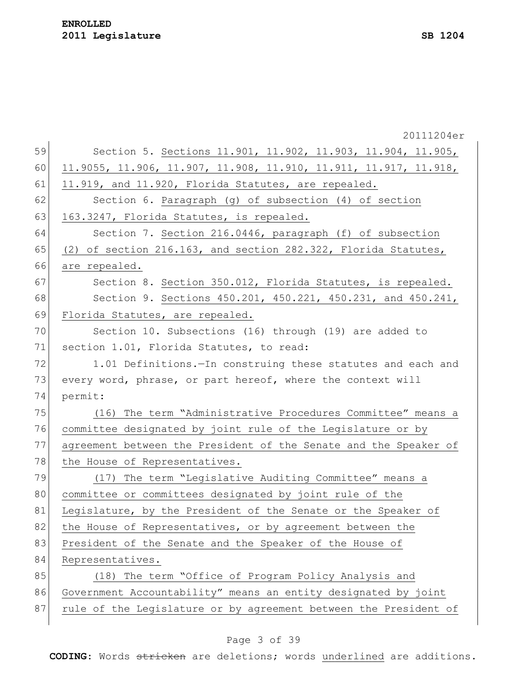20111204er 59 Section 5. Sections 11.901, 11.902, 11.903, 11.904, 11.905, 60 11.9055, 11.906, 11.907, 11.908, 11.910, 11.911, 11.917, 11.918, 61  $11.919$ , and 11.920, Florida Statutes, are repealed. 62 Section 6. Paragraph (g) of subsection (4) of section 63 163.3247, Florida Statutes, is repealed. 64 Section 7. Section 216.0446, paragraph (f) of subsection 65 (2) of section 216.163, and section 282.322, Florida Statutes, 66 are repealed. 67 Section 8. Section 350.012, Florida Statutes, is repealed. 68 Section 9. Sections 450.201, 450.221, 450.231, and 450.241, 69 Florida Statutes, are repealed. 70 Section 10. Subsections (16) through (19) are added to 71 section 1.01, Florida Statutes, to read: 72 1.01 Definitions.—In construing these statutes and each and 73 every word, phrase, or part hereof, where the context will 74 permit: 75 (16) The term "Administrative Procedures Committee" means a 76 committee designated by joint rule of the Legislature or by 77 agreement between the President of the Senate and the Speaker of 78 the House of Representatives. 79 (17) The term "Legislative Auditing Committee" means a 80 committee or committees designated by joint rule of the 81 Legislature, by the President of the Senate or the Speaker of 82 the House of Representatives, or by agreement between the 83 President of the Senate and the Speaker of the House of 84 Representatives. 85 (18) The term "Office of Program Policy Analysis and 86 Government Accountability" means an entity designated by joint 87 rule of the Legislature or by agreement between the President of

#### Page 3 of 39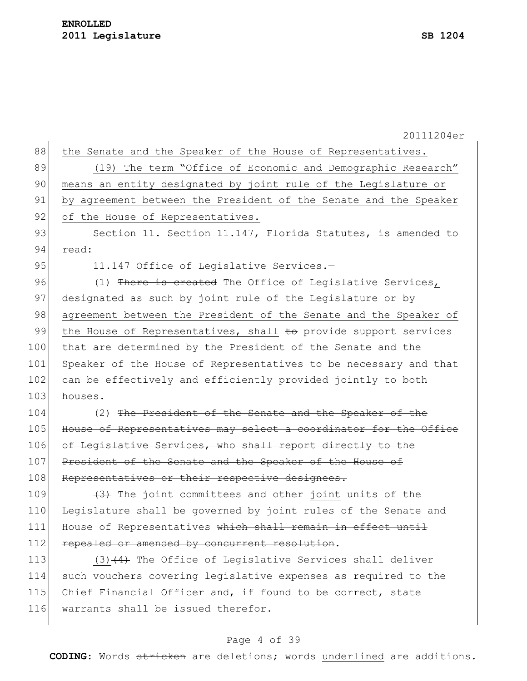20111204er 88 the Senate and the Speaker of the House of Representatives. 89 (19) The term "Office of Economic and Demographic Research" 90 means an entity designated by joint rule of the Legislature or 91 by agreement between the President of the Senate and the Speaker 92 of the House of Representatives. 93 Section 11. Section 11.147, Florida Statutes, is amended to 94 read: 95 11.147 Office of Legislative Services.-96 (1) There is created The Office of Legislative Services, 97 designated as such by joint rule of the Legislature or by 98 agreement between the President of the Senate and the Speaker of 99 the House of Representatives, shall  $\pm$ o provide support services 100 that are determined by the President of the Senate and the 101 Speaker of the House of Representatives to be necessary and that 102 can be effectively and efficiently provided jointly to both 103 houses. 104 (2) The President of the Senate and the Speaker of the 105 House of Representatives may select a coordinator for the Office 106 of Legislative Services, who shall report directly to the 107 President of the Senate and the Speaker of the House of 108 Representatives or their respective designees. 109  $(3)$  The joint committees and other joint units of the 110 Legislature shall be governed by joint rules of the Senate and 111 House of Representatives which shall remain in effect until 112 repealed or amended by concurrent resolution. 113  $(3)$   $(4)$  The Office of Legislative Services shall deliver 114 such vouchers covering legislative expenses as required to the 115 Chief Financial Officer and, if found to be correct, state 116 warrants shall be issued therefor.

#### Page 4 of 39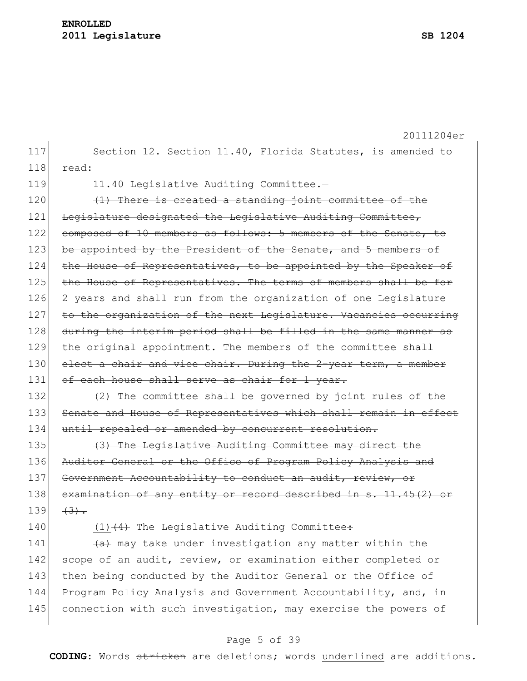|     | 20111204er                                                       |  |  |  |  |
|-----|------------------------------------------------------------------|--|--|--|--|
| 117 | Section 12. Section 11.40, Florida Statutes, is amended to       |  |  |  |  |
| 118 | read:                                                            |  |  |  |  |
| 119 | 11.40 Legislative Auditing Committee.-                           |  |  |  |  |
| 120 | (1) There is created a standing joint committee of the           |  |  |  |  |
| 121 | Legislature designated the Legislative Auditing Committee,       |  |  |  |  |
| 122 | composed of 10 members as follows: 5 members of the Senate, to   |  |  |  |  |
| 123 | be appointed by the President of the Senate, and 5 members of    |  |  |  |  |
| 124 | the House of Representatives, to be appointed by the Speaker of  |  |  |  |  |
| 125 | the House of Representatives. The terms of members shall be for  |  |  |  |  |
| 126 | 2 years and shall run from the organization of one Legislature   |  |  |  |  |
| 127 | to the organization of the next Legislature. Vacancies occurring |  |  |  |  |
| 128 | during the interim period shall be filled in the same manner as  |  |  |  |  |
| 129 | the original appointment. The members of the committee shall     |  |  |  |  |
| 130 | elect a chair and vice chair. During the 2-year term, a member   |  |  |  |  |
| 131 | of each house shall serve as chair for 1 year.                   |  |  |  |  |
| 132 | (2) The committee shall be governed by joint rules of the        |  |  |  |  |
| 133 | Senate and House of Representatives which shall remain in effect |  |  |  |  |
| 134 | until repealed or amended by concurrent resolution.              |  |  |  |  |
| 135 | (3) The Legislative Auditing Committee may direct the            |  |  |  |  |
| 136 | Auditor General or the Office of Program Policy Analysis and     |  |  |  |  |
| 137 | Government Accountability to conduct an audit, review, or        |  |  |  |  |
| 138 | examination of any entity or record described in s. 11.45(2) or  |  |  |  |  |
| 139 | $(3)$ .                                                          |  |  |  |  |
| 140 | $(1)$ $(4)$ The Legislative Auditing Committee:                  |  |  |  |  |
| 141 | (a) may take under investigation any matter within the           |  |  |  |  |
| 142 | scope of an audit, review, or examination either completed or    |  |  |  |  |
| 143 | then being conducted by the Auditor General or the Office of     |  |  |  |  |
| 144 | Program Policy Analysis and Government Accountability, and, in   |  |  |  |  |
| 145 | connection with such investigation, may exercise the powers of   |  |  |  |  |
|     |                                                                  |  |  |  |  |

# Page 5 of 39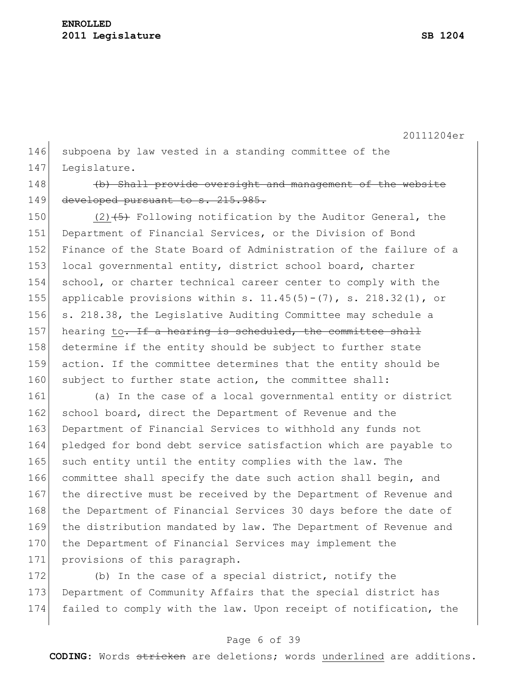146 subpoena by law vested in a standing committee of the 147 Leqislature.

148 (b) Shall provide oversight and management of the website 149 developed pursuant to s. 215.985.

150 (2) $\left(5\right)$  Following notification by the Auditor General, the 151 Department of Financial Services, or the Division of Bond 152 Finance of the State Board of Administration of the failure of a 153 local governmental entity, district school board, charter 154 school, or charter technical career center to comply with the 155 applicable provisions within s.  $11.45(5) - (7)$ , s.  $218.32(1)$ , or 156 s. 218.38, the Legislative Auditing Committee may schedule a 157 hearing to. If a hearing is scheduled, the committee shall 158 determine if the entity should be subject to further state 159 action. If the committee determines that the entity should be 160 subject to further state action, the committee shall:

161 (a) In the case of a local governmental entity or district 162 school board, direct the Department of Revenue and the 163 Department of Financial Services to withhold any funds not 164 pledged for bond debt service satisfaction which are payable to 165 such entity until the entity complies with the law. The 166 committee shall specify the date such action shall begin, and 167 the directive must be received by the Department of Revenue and 168 the Department of Financial Services 30 days before the date of 169 the distribution mandated by law. The Department of Revenue and 170 the Department of Financial Services may implement the 171 provisions of this paragraph.

172 (b) In the case of a special district, notify the 173 Department of Community Affairs that the special district has 174 failed to comply with the law. Upon receipt of notification, the

#### Page 6 of 39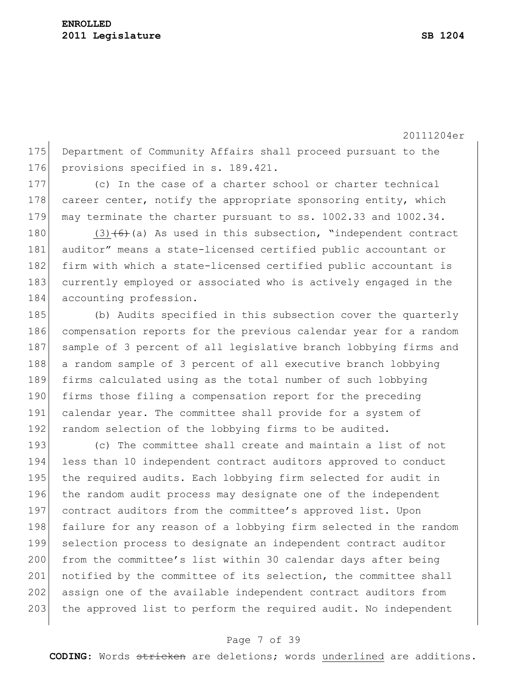175 Department of Community Affairs shall proceed pursuant to the 176 provisions specified in s. 189.421.

177 (c) In the case of a charter school or charter technical 178 career center, notify the appropriate sponsoring entity, which 179 may terminate the charter pursuant to ss. 1002.33 and 1002.34.

180 (3) $(6)$  (a) As used in this subsection, "independent contract 181 auditor" means a state-licensed certified public accountant or 182 firm with which a state-licensed certified public accountant is 183 currently employed or associated who is actively engaged in the 184 accounting profession.

185 (b) Audits specified in this subsection cover the quarterly 186 compensation reports for the previous calendar year for a random 187 sample of 3 percent of all legislative branch lobbying firms and 188 a random sample of 3 percent of all executive branch lobbying 189 firms calculated using as the total number of such lobbying 190 firms those filing a compensation report for the preceding 191 calendar year. The committee shall provide for a system of 192 random selection of the lobbying firms to be audited.

193 (c) The committee shall create and maintain a list of not 194 less than 10 independent contract auditors approved to conduct 195 the required audits. Each lobbying firm selected for audit in 196 the random audit process may designate one of the independent 197 contract auditors from the committee's approved list. Upon 198 failure for any reason of a lobbying firm selected in the random 199 selection process to designate an independent contract auditor 200 from the committee's list within 30 calendar days after being 201 notified by the committee of its selection, the committee shall 202 assign one of the available independent contract auditors from 203 the approved list to perform the required audit. No independent

#### Page 7 of 39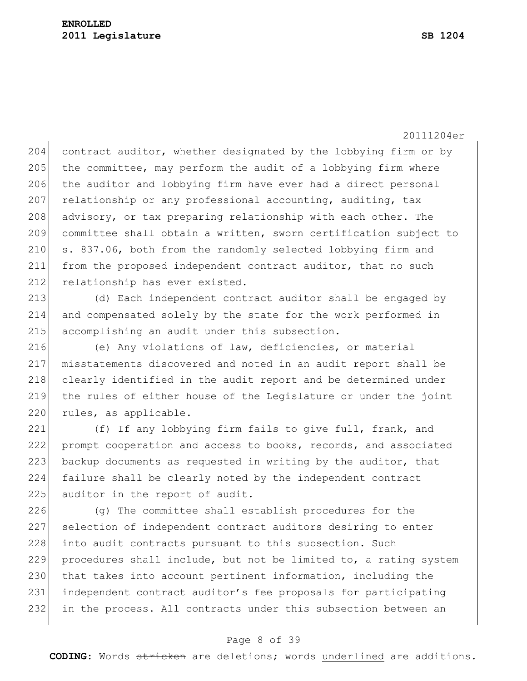204 contract auditor, whether designated by the lobbying firm or by  $205$  the committee, may perform the audit of a lobbying firm where 206 the auditor and lobbying firm have ever had a direct personal 207 relationship or any professional accounting, auditing, tax 208 advisory, or tax preparing relationship with each other. The 209 committee shall obtain a written, sworn certification subject to 210 s. 837.06, both from the randomly selected lobbying firm and 211 from the proposed independent contract auditor, that no such 212 relationship has ever existed.

213 (d) Each independent contract auditor shall be engaged by 214 and compensated solely by the state for the work performed in 215 accomplishing an audit under this subsection.

216 (e) Any violations of law, deficiencies, or material 217 misstatements discovered and noted in an audit report shall be 218 clearly identified in the audit report and be determined under 219 the rules of either house of the Legislature or under the joint 220 rules, as applicable.

221 (f) If any lobbying firm fails to give full, frank, and 222 prompt cooperation and access to books, records, and associated 223 backup documents as requested in writing by the auditor, that 224 failure shall be clearly noted by the independent contract 225 auditor in the report of audit.

226 (g) The committee shall establish procedures for the 227 selection of independent contract auditors desiring to enter 228 into audit contracts pursuant to this subsection. Such 229 procedures shall include, but not be limited to, a rating system 230 that takes into account pertinent information, including the 231 independent contract auditor's fee proposals for participating 232 in the process. All contracts under this subsection between an

#### Page 8 of 39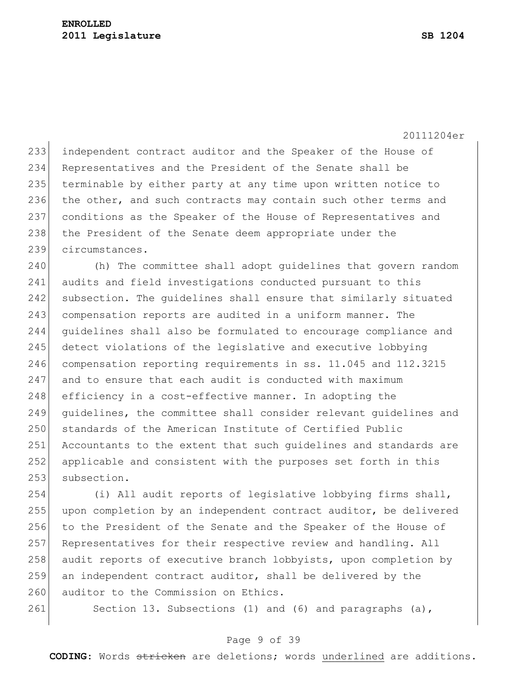233 independent contract auditor and the Speaker of the House of 234 Representatives and the President of the Senate shall be 235 terminable by either party at any time upon written notice to 236 the other, and such contracts may contain such other terms and 237 conditions as the Speaker of the House of Representatives and 238 the President of the Senate deem appropriate under the 239 circumstances.

240 (h) The committee shall adopt guidelines that govern random 241 audits and field investigations conducted pursuant to this 242 subsection. The quidelines shall ensure that similarly situated 243 compensation reports are audited in a uniform manner. The 244 guidelines shall also be formulated to encourage compliance and 245 detect violations of the legislative and executive lobbying 246 compensation reporting requirements in ss. 11.045 and 112.3215 247 and to ensure that each audit is conducted with maximum 248 efficiency in a cost-effective manner. In adopting the 249 guidelines, the committee shall consider relevant guidelines and 250 standards of the American Institute of Certified Public 251 Accountants to the extent that such quidelines and standards are 252 applicable and consistent with the purposes set forth in this 253 subsection.

254 (i) All audit reports of legislative lobbying firms shall, 255 upon completion by an independent contract auditor, be delivered 256 to the President of the Senate and the Speaker of the House of 257 Representatives for their respective review and handling. All 258 audit reports of executive branch lobbyists, upon completion by 259 an independent contract auditor, shall be delivered by the 260 auditor to the Commission on Ethics.

261 Section 13. Subsections (1) and (6) and paragraphs (a),

#### Page 9 of 39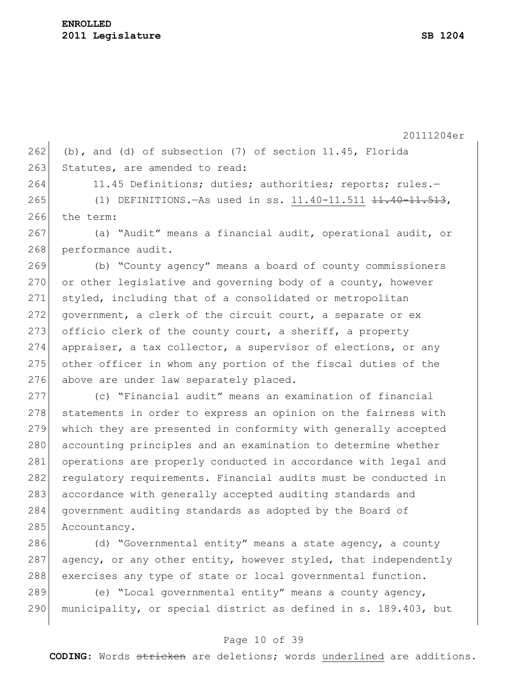262 (b), and (d) of subsection  $(7)$  of section 11.45, Florida 263 Statutes, are amended to read:

264 11.45 Definitions; duties; authorities; reports; rules.-

265 (1) DEFINITIONS.—As used in ss. 11.40-11.511 <del>11.40-11.513</del>, 266 the term:

267 (a) "Audit" means a financial audit, operational audit, or 268 performance audit.

269 (b) "County agency" means a board of county commissioners 270 or other legislative and governing body of a county, however 271 styled, including that of a consolidated or metropolitan 272 government, a clerk of the circuit court, a separate or ex 273 officio clerk of the county court, a sheriff, a property 274 appraiser, a tax collector, a supervisor of elections, or any 275 other officer in whom any portion of the fiscal duties of the 276 above are under law separately placed.

277 (c) "Financial audit" means an examination of financial 278 statements in order to express an opinion on the fairness with 279 which they are presented in conformity with generally accepted 280 accounting principles and an examination to determine whether 281 operations are properly conducted in accordance with legal and 282 regulatory requirements. Financial audits must be conducted in 283 accordance with generally accepted auditing standards and 284 government auditing standards as adopted by the Board of 285 Accountancy.

286  $(d)$  "Governmental entity" means a state agency, a county 287 agency, or any other entity, however styled, that independently 288 exercises any type of state or local governmental function.

289 (e) "Local governmental entity" means a county agency, 290 municipality, or special district as defined in s. 189.403, but

#### Page 10 of 39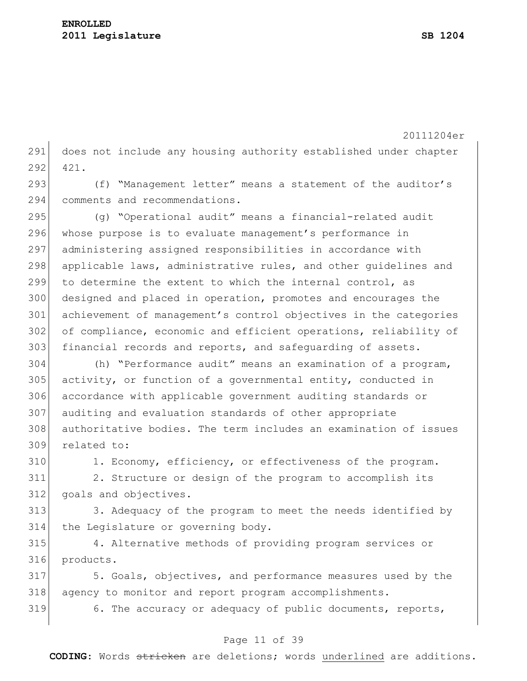does not include any housing authority established under chapter 421.

293 (f) "Management letter" means a statement of the auditor's comments and recommendations.

 (g) "Operational audit" means a financial-related audit 296 whose purpose is to evaluate management's performance in administering assigned responsibilities in accordance with 298 applicable laws, administrative rules, and other guidelines and to determine the extent to which the internal control, as designed and placed in operation, promotes and encourages the achievement of management's control objectives in the categories 302 of compliance, economic and efficient operations, reliability of 303 financial records and reports, and safequarding of assets.

 (h) "Performance audit" means an examination of a program, activity, or function of a governmental entity, conducted in accordance with applicable government auditing standards or auditing and evaluation standards of other appropriate authoritative bodies. The term includes an examination of issues related to:

310 1. Economy, efficiency, or effectiveness of the program.

 2. Structure or design of the program to accomplish its goals and objectives.

313 3. Adequacy of the program to meet the needs identified by the Legislature or governing body.

 4. Alternative methods of providing program services or products.

 5. Goals, objectives, and performance measures used by the agency to monitor and report program accomplishments. 6. The accuracy or adequacy of public documents, reports,

### Page 11 of 39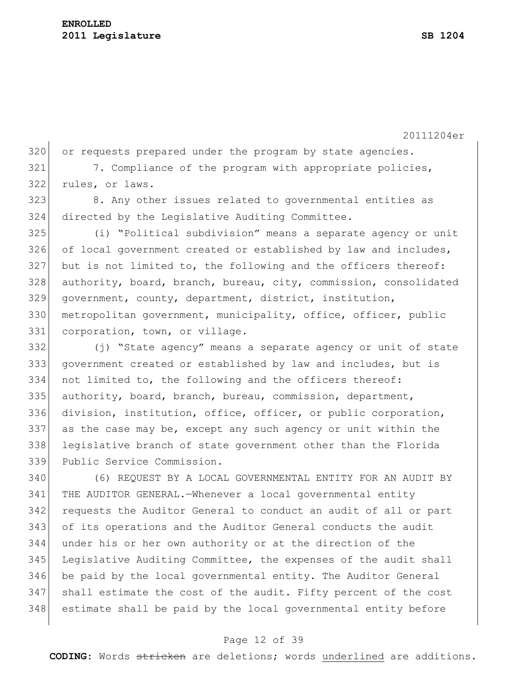320 or requests prepared under the program by state agencies. 321 7. Compliance of the program with appropriate policies, rules, or laws. 8. Any other issues related to governmental entities as directed by the Legislative Auditing Committee. (i) "Political subdivision" means a separate agency or unit 326 of local government created or established by law and includes, but is not limited to, the following and the officers thereof: authority, board, branch, bureau, city, commission, consolidated government, county, department, district, institution, 330 metropolitan government, municipality, office, officer, public 331 corporation, town, or village. (j) "State agency" means a separate agency or unit of state government created or established by law and includes, but is not limited to, the following and the officers thereof: authority, board, branch, bureau, commission, department, division, institution, office, officer, or public corporation, as the case may be, except any such agency or unit within the legislative branch of state government other than the Florida Public Service Commission. (6) REQUEST BY A LOCAL GOVERNMENTAL ENTITY FOR AN AUDIT BY THE AUDITOR GENERAL.—Whenever a local governmental entity requests the Auditor General to conduct an audit of all or part of its operations and the Auditor General conducts the audit under his or her own authority or at the direction of the

 Legislative Auditing Committee, the expenses of the audit shall be paid by the local governmental entity. The Auditor General shall estimate the cost of the audit. Fifty percent of the cost estimate shall be paid by the local governmental entity before

#### Page 12 of 39

**CODING**: Words stricken are deletions; words underlined are additions.

20111204er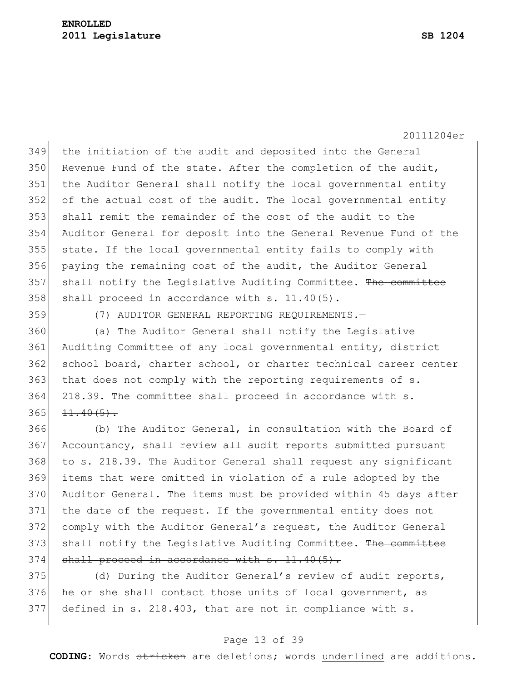the initiation of the audit and deposited into the General 350 Revenue Fund of the state. After the completion of the audit, the Auditor General shall notify the local governmental entity of the actual cost of the audit. The local governmental entity shall remit the remainder of the cost of the audit to the Auditor General for deposit into the General Revenue Fund of the state. If the local governmental entity fails to comply with paying the remaining cost of the audit, the Auditor General 357 shall notify the Legislative Auditing Committee. The committee shall proceed in accordance with s. 11.40(5).

(7) AUDITOR GENERAL REPORTING REQUIREMENTS.—

 (a) The Auditor General shall notify the Legislative Auditing Committee of any local governmental entity, district 362 school board, charter school, or charter technical career center 363 that does not comply with the reporting requirements of s. 364 218.39. The committee shall proceed in accordance with s.  $11.40(5)$ .

 (b) The Auditor General, in consultation with the Board of Accountancy, shall review all audit reports submitted pursuant to s. 218.39. The Auditor General shall request any significant items that were omitted in violation of a rule adopted by the Auditor General. The items must be provided within 45 days after 371 the date of the request. If the governmental entity does not comply with the Auditor General's request, the Auditor General 373 shall notify the Legislative Auditing Committee. The committee shall proceed in accordance with s. 11.40(5).

375 (d) During the Auditor General's review of audit reports, 376 he or she shall contact those units of local government, as defined in s. 218.403, that are not in compliance with s.

#### Page 13 of 39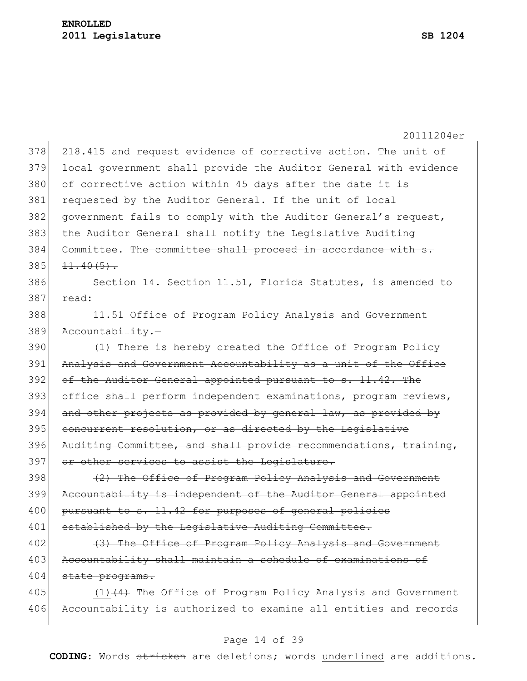|     | 20111204er                                                       |  |  |  |  |  |
|-----|------------------------------------------------------------------|--|--|--|--|--|
| 378 | 218.415 and request evidence of corrective action. The unit of   |  |  |  |  |  |
| 379 | local government shall provide the Auditor General with evidence |  |  |  |  |  |
| 380 | of corrective action within 45 days after the date it is         |  |  |  |  |  |
| 381 | requested by the Auditor General. If the unit of local           |  |  |  |  |  |
| 382 | government fails to comply with the Auditor General's request,   |  |  |  |  |  |
| 383 | the Auditor General shall notify the Legislative Auditing        |  |  |  |  |  |
| 384 | Committee. The committee shall proceed in accordance with s.     |  |  |  |  |  |
| 385 | $11.40(5)$ .                                                     |  |  |  |  |  |
| 386 | Section 14. Section 11.51, Florida Statutes, is amended to       |  |  |  |  |  |
| 387 | read:                                                            |  |  |  |  |  |
| 388 | 11.51 Office of Program Policy Analysis and Government           |  |  |  |  |  |
| 389 | Accountability.-                                                 |  |  |  |  |  |
| 390 | (1) There is hereby created the Office of Program Policy         |  |  |  |  |  |
| 391 | Analysis and Government Accountability as a unit of the Office   |  |  |  |  |  |
| 392 | of the Auditor General appointed pursuant to s. 11.42. The       |  |  |  |  |  |
| 393 | office shall perform independent examinations, program reviews,  |  |  |  |  |  |
| 394 | and other projects as provided by general law, as provided by    |  |  |  |  |  |
| 395 | concurrent resolution, or as directed by the Legislative         |  |  |  |  |  |
| 396 | Auditing Committee, and shall provide recommendations, training, |  |  |  |  |  |
| 397 | or other services to assist the Legislature.                     |  |  |  |  |  |
| 398 | (2) The Office of Program Policy Analysis and Government         |  |  |  |  |  |
| 399 | Accountability is independent of the Auditor General appointed   |  |  |  |  |  |
| 400 | pursuant to s. 11.42 for purposes of general policies            |  |  |  |  |  |
| 401 | established by the Legislative Auditing Committee.               |  |  |  |  |  |
| 402 | (3) The Office of Program Policy Analysis and Government         |  |  |  |  |  |
| 403 | Accountability shall maintain a schedule of examinations of      |  |  |  |  |  |
| 404 | state programs.                                                  |  |  |  |  |  |
| 405 | $(1)$ $(4)$ The Office of Program Policy Analysis and Government |  |  |  |  |  |
| 406 | Accountability is authorized to examine all entities and records |  |  |  |  |  |
|     |                                                                  |  |  |  |  |  |

# Page 14 of 39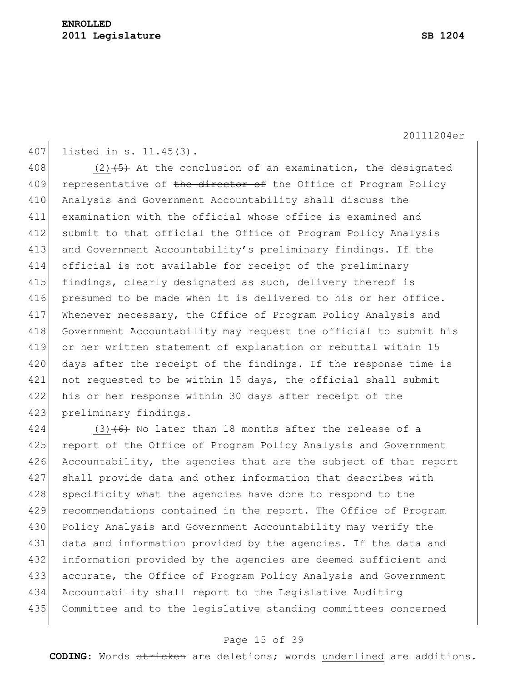407 listed in s. 11.45(3).

408 (2) $\left(5\right)$  At the conclusion of an examination, the designated 409 representative of the director of the Office of Program Policy 410 Analysis and Government Accountability shall discuss the 411 examination with the official whose office is examined and 412 submit to that official the Office of Program Policy Analysis 413 and Government Accountability's preliminary findings. If the 414 official is not available for receipt of the preliminary 415 findings, clearly designated as such, delivery thereof is 416 presumed to be made when it is delivered to his or her office. 417 Whenever necessary, the Office of Program Policy Analysis and 418 Government Accountability may request the official to submit his 419 or her written statement of explanation or rebuttal within 15 420 days after the receipt of the findings. If the response time is 421 not requested to be within 15 days, the official shall submit 422 his or her response within 30 days after receipt of the 423 preliminary findings.

424  $(3)$  (6) No later than 18 months after the release of a 425 report of the Office of Program Policy Analysis and Government 426 Accountability, the agencies that are the subject of that report 427 shall provide data and other information that describes with 428 specificity what the agencies have done to respond to the 429 recommendations contained in the report. The Office of Program 430 Policy Analysis and Government Accountability may verify the 431 data and information provided by the agencies. If the data and 432 information provided by the agencies are deemed sufficient and 433 accurate, the Office of Program Policy Analysis and Government 434 Accountability shall report to the Legislative Auditing 435 Committee and to the legislative standing committees concerned

#### Page 15 of 39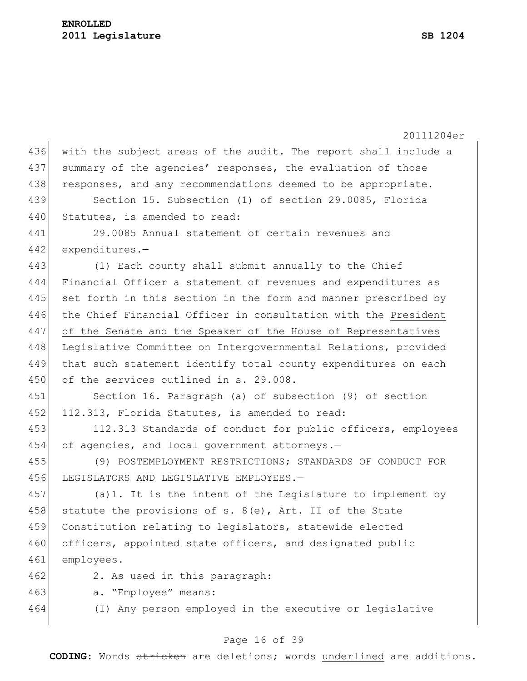|     | 20111204er                                                      |  |  |  |  |  |
|-----|-----------------------------------------------------------------|--|--|--|--|--|
| 436 | with the subject areas of the audit. The report shall include a |  |  |  |  |  |
| 437 | summary of the agencies' responses, the evaluation of those     |  |  |  |  |  |
| 438 | responses, and any recommendations deemed to be appropriate.    |  |  |  |  |  |
| 439 | Section 15. Subsection (1) of section 29.0085, Florida          |  |  |  |  |  |
| 440 | Statutes, is amended to read:                                   |  |  |  |  |  |
| 441 | 29.0085 Annual statement of certain revenues and                |  |  |  |  |  |
| 442 | expenditures.-                                                  |  |  |  |  |  |
| 443 | (1) Each county shall submit annually to the Chief              |  |  |  |  |  |
| 444 | Financial Officer a statement of revenues and expenditures as   |  |  |  |  |  |
| 445 | set forth in this section in the form and manner prescribed by  |  |  |  |  |  |
| 446 | the Chief Financial Officer in consultation with the President  |  |  |  |  |  |
| 447 | of the Senate and the Speaker of the House of Representatives   |  |  |  |  |  |
| 448 | Legislative Committee on Intergovernmental Relations, provided  |  |  |  |  |  |
| 449 | that such statement identify total county expenditures on each  |  |  |  |  |  |
| 450 | of the services outlined in s. 29.008.                          |  |  |  |  |  |
| 451 | Section 16. Paragraph (a) of subsection (9) of section          |  |  |  |  |  |
| 452 | 112.313, Florida Statutes, is amended to read:                  |  |  |  |  |  |
| 453 | 112.313 Standards of conduct for public officers, employees     |  |  |  |  |  |
| 454 | of agencies, and local government attorneys.-                   |  |  |  |  |  |
| 455 | (9) POSTEMPLOYMENT RESTRICTIONS; STANDARDS OF CONDUCT FOR       |  |  |  |  |  |
| 456 | LEGISLATORS AND LEGISLATIVE EMPLOYEES.-                         |  |  |  |  |  |
| 457 | (a) 1. It is the intent of the Legislature to implement by      |  |  |  |  |  |
| 458 | statute the provisions of s. 8(e), Art. II of the State         |  |  |  |  |  |
| 459 | Constitution relating to legislators, statewide elected         |  |  |  |  |  |
| 460 | officers, appointed state officers, and designated public       |  |  |  |  |  |
| 461 | employees.                                                      |  |  |  |  |  |
| 462 | 2. As used in this paragraph:                                   |  |  |  |  |  |
| 463 | a. "Employee" means:                                            |  |  |  |  |  |
| 464 | (I) Any person employed in the executive or legislative         |  |  |  |  |  |
|     |                                                                 |  |  |  |  |  |
|     |                                                                 |  |  |  |  |  |

# Page 16 of 39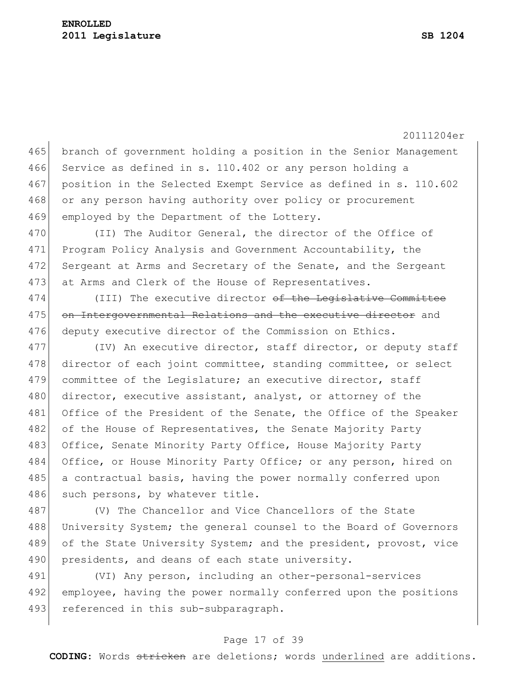465 branch of government holding a position in the Senior Management 466 Service as defined in s. 110.402 or any person holding a 467 position in the Selected Exempt Service as defined in s. 110.602 468 or any person having authority over policy or procurement 469 employed by the Department of the Lottery.

470 (II) The Auditor General, the director of the Office of 471 Program Policy Analysis and Government Accountability, the 472 Sergeant at Arms and Secretary of the Senate, and the Sergeant 473 at Arms and Clerk of the House of Representatives.

474 (III) The executive director of the Legislative Committee 475 on Intergovernmental Relations and the executive director and 476 deputy executive director of the Commission on Ethics.

477 (IV) An executive director, staff director, or deputy staff 478 director of each joint committee, standing committee, or select 479 committee of the Legislature; an executive director, staff 480 director, executive assistant, analyst, or attorney of the 481 Office of the President of the Senate, the Office of the Speaker 482 of the House of Representatives, the Senate Majority Party 483 Office, Senate Minority Party Office, House Majority Party 484 Office, or House Minority Party Office; or any person, hired on 485 a contractual basis, having the power normally conferred upon 486 such persons, by whatever title.

487 (V) The Chancellor and Vice Chancellors of the State 488 University System; the general counsel to the Board of Governors 489 of the State University System; and the president, provost, vice 490 presidents, and deans of each state university.

491 (VI) Any person, including an other-personal-services 492 employee, having the power normally conferred upon the positions 493 referenced in this sub-subparagraph.

#### Page 17 of 39

**CODING**: Words stricken are deletions; words underlined are additions.

20111204er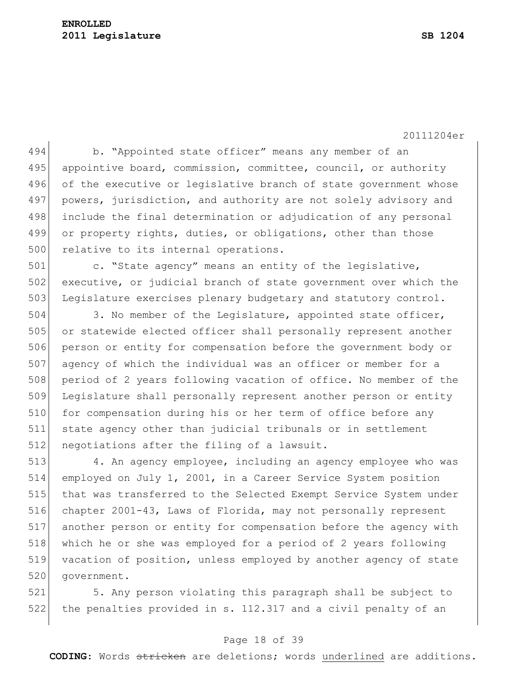### **ENROLLED 2011 Legislature SB 1204**

20111204er

494 b. "Appointed state officer" means any member of an 495 appointive board, commission, committee, council, or authority 496 of the executive or legislative branch of state government whose 497 powers, jurisdiction, and authority are not solely advisory and 498 include the final determination or adjudication of any personal 499 or property rights, duties, or obligations, other than those 500 relative to its internal operations.

501 c. "State agency" means an entity of the legislative, 502 executive, or judicial branch of state government over which the 503 Legislature exercises plenary budgetary and statutory control.

504 3. No member of the Legislature, appointed state officer, 505 or statewide elected officer shall personally represent another 506 person or entity for compensation before the government body or 507 agency of which the individual was an officer or member for a 508 period of 2 years following vacation of office. No member of the 509 Legislature shall personally represent another person or entity 510 for compensation during his or her term of office before any 511 state agency other than judicial tribunals or in settlement 512 negotiations after the filing of a lawsuit.

 4. An agency employee, including an agency employee who was employed on July 1, 2001, in a Career Service System position that was transferred to the Selected Exempt Service System under chapter 2001-43, Laws of Florida, may not personally represent another person or entity for compensation before the agency with which he or she was employed for a period of 2 years following vacation of position, unless employed by another agency of state 520 government.

521 5. Any person violating this paragraph shall be subject to 522 the penalties provided in s. 112.317 and a civil penalty of an

#### Page 18 of 39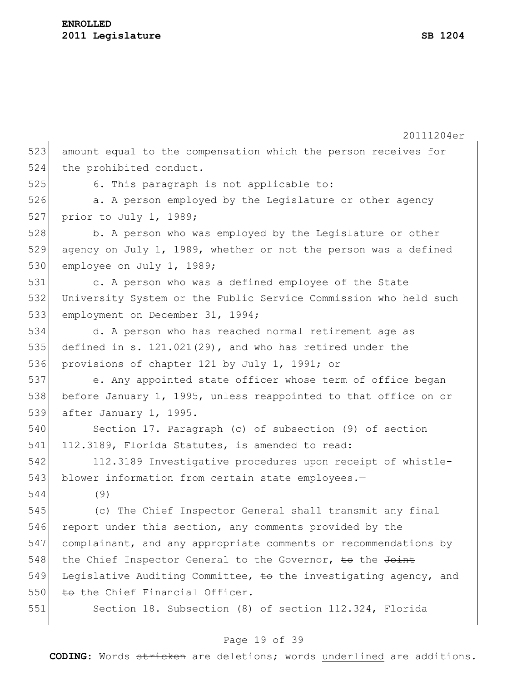|     | 20111204er                                                       |  |  |  |  |
|-----|------------------------------------------------------------------|--|--|--|--|
| 523 | amount equal to the compensation which the person receives for   |  |  |  |  |
| 524 | the prohibited conduct.                                          |  |  |  |  |
| 525 | 6. This paragraph is not applicable to:                          |  |  |  |  |
| 526 | a. A person employed by the Legislature or other agency          |  |  |  |  |
| 527 | prior to July 1, 1989;                                           |  |  |  |  |
| 528 | b. A person who was employed by the Legislature or other         |  |  |  |  |
| 529 | agency on July 1, 1989, whether or not the person was a defined  |  |  |  |  |
| 530 | employee on July 1, 1989;                                        |  |  |  |  |
| 531 | c. A person who was a defined employee of the State              |  |  |  |  |
| 532 | University System or the Public Service Commission who held such |  |  |  |  |
| 533 | employment on December 31, 1994;                                 |  |  |  |  |
| 534 | d. A person who has reached normal retirement age as             |  |  |  |  |
| 535 | defined in s. $121.021(29)$ , and who has retired under the      |  |  |  |  |
| 536 | provisions of chapter 121 by July 1, 1991; or                    |  |  |  |  |
| 537 | e. Any appointed state officer whose term of office began        |  |  |  |  |
| 538 | before January 1, 1995, unless reappointed to that office on or  |  |  |  |  |
| 539 | after January 1, 1995.                                           |  |  |  |  |
| 540 | Section 17. Paragraph (c) of subsection (9) of section           |  |  |  |  |
| 541 | 112.3189, Florida Statutes, is amended to read:                  |  |  |  |  |
| 542 | 112.3189 Investigative procedures upon receipt of whistle-       |  |  |  |  |
| 543 | blower information from certain state employees.-                |  |  |  |  |
| 544 | (9)                                                              |  |  |  |  |
| 545 | (c) The Chief Inspector General shall transmit any final         |  |  |  |  |
| 546 | report under this section, any comments provided by the          |  |  |  |  |
| 547 | complainant, and any appropriate comments or recommendations by  |  |  |  |  |
| 548 | the Chief Inspector General to the Governor, to the Joint        |  |  |  |  |
| 549 | Legislative Auditing Committee, to the investigating agency, and |  |  |  |  |
| 550 | to the Chief Financial Officer.                                  |  |  |  |  |
| 551 | Section 18. Subsection (8) of section 112.324, Florida           |  |  |  |  |

# Page 19 of 39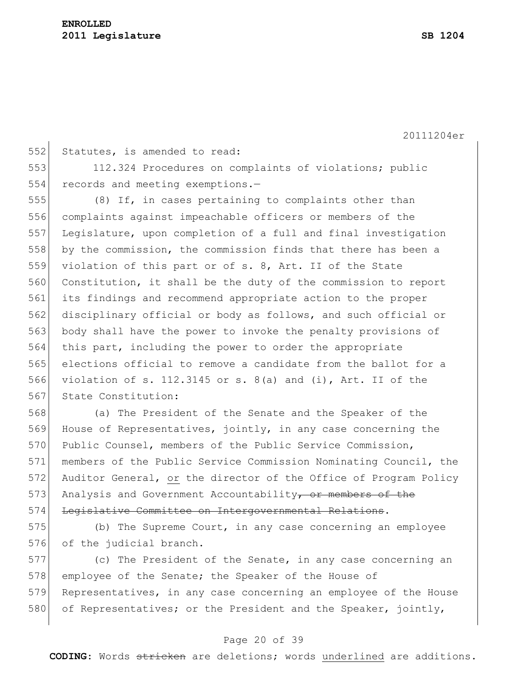552 Statutes, is amended to read: 112.324 Procedures on complaints of violations; public 554 records and meeting exemptions.- (8) If, in cases pertaining to complaints other than 556 complaints against impeachable officers or members of the Legislature, upon completion of a full and final investigation by the commission, the commission finds that there has been a violation of this part or of s. 8, Art. II of the State Constitution, it shall be the duty of the commission to report its findings and recommend appropriate action to the proper 562 disciplinary official or body as follows, and such official or body shall have the power to invoke the penalty provisions of this part, including the power to order the appropriate elections official to remove a candidate from the ballot for a violation of s. 112.3145 or s. 8(a) and (i), Art. II of the 567 State Constitution:

568 (a) The President of the Senate and the Speaker of the 569 House of Representatives, jointly, in any case concerning the 570 Public Counsel, members of the Public Service Commission, 571 members of the Public Service Commission Nominating Council, the 572 Auditor General, or the director of the Office of Program Policy 573 Analysis and Government Accountability, or members of the 574 Legislative Committee on Intergovernmental Relations.

575 (b) The Supreme Court, in any case concerning an employee 576 of the judicial branch.

577 (c) The President of the Senate, in any case concerning an 578 employee of the Senate; the Speaker of the House of 579 Representatives, in any case concerning an employee of the House 580 of Representatives; or the President and the Speaker, jointly,

#### Page 20 of 39

**CODING**: Words stricken are deletions; words underlined are additions.

20111204er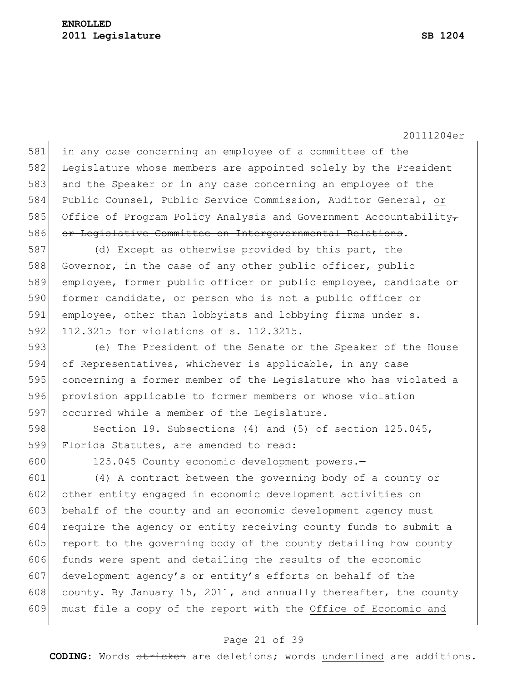581 in any case concerning an employee of a committee of the 582 Legislature whose members are appointed solely by the President 583 and the Speaker or in any case concerning an employee of the 584 Public Counsel, Public Service Commission, Auditor General, or 585 Office of Program Policy Analysis and Government Accountability-586 or Legislative Committee on Intergovernmental Relations.

587 (d) Except as otherwise provided by this part, the 588 Governor, in the case of any other public officer, public 589 employee, former public officer or public employee, candidate or 590 former candidate, or person who is not a public officer or 591 employee, other than lobbyists and lobbying firms under s. 592 112.3215 for violations of s. 112.3215.

593 (e) The President of the Senate or the Speaker of the House 594 of Representatives, whichever is applicable, in any case 595 concerning a former member of the Legislature who has violated a 596 provision applicable to former members or whose violation 597 occurred while a member of the Legislature.

598 Section 19. Subsections (4) and (5) of section 125.045, 599 Florida Statutes, are amended to read:

600 125.045 County economic development powers.-

601 (4) A contract between the governing body of a county or 602 other entity engaged in economic development activities on 603 behalf of the county and an economic development agency must 604 require the agency or entity receiving county funds to submit a 605 report to the governing body of the county detailing how county 606 funds were spent and detailing the results of the economic 607 development agency's or entity's efforts on behalf of the 608 county. By January 15, 2011, and annually thereafter, the county 609 must file a copy of the report with the Office of Economic and

### Page 21 of 39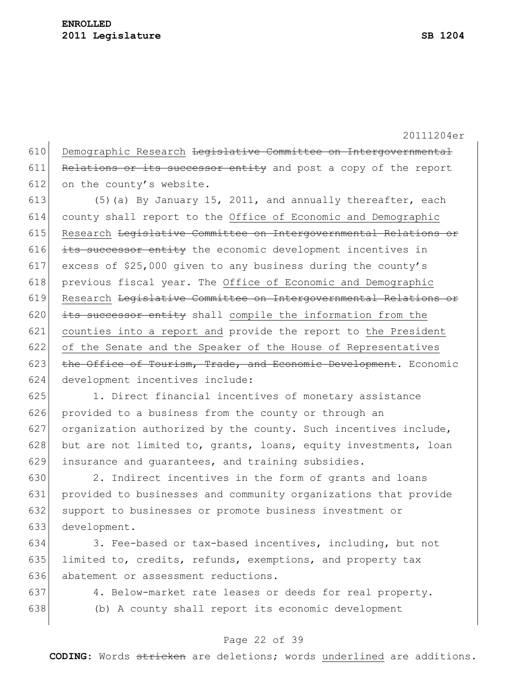610 Demographic Research Legislative Committee on Intergovernmental 611 Relations or its successor entity and post a copy of the report 612 on the county's website.

613  $(5)$  (a) By January 15, 2011, and annually thereafter, each 614 county shall report to the Office of Economic and Demographic 615 Research Legislative Committee on Intergovernmental Relations or  $616$  its successor entity the economic development incentives in 617 excess of \$25,000 given to any business during the county's 618 previous fiscal year. The Office of Economic and Demographic 619 Research Legislative Committee on Intergovernmental Relations or 620  $|$  its successor entity shall compile the information from the 621 counties into a report and provide the report to the President 622 of the Senate and the Speaker of the House of Representatives 623 the Office of Tourism, Trade, and Economic Development. Economic 624 development incentives include:

625 1. Direct financial incentives of monetary assistance 626 provided to a business from the county or through an 627 organization authorized by the county. Such incentives include, 628 but are not limited to, grants, loans, equity investments, loan 629 insurance and quarantees, and training subsidies.

 2. Indirect incentives in the form of grants and loans provided to businesses and community organizations that provide 632 support to businesses or promote business investment or development.

634 3. Fee-based or tax-based incentives, including, but not 635 limited to, credits, refunds, exemptions, and property tax 636 abatement or assessment reductions.

- 
- 

637 4. Below-market rate leases or deeds for real property. 638 (b) A county shall report its economic development

### Page 22 of 39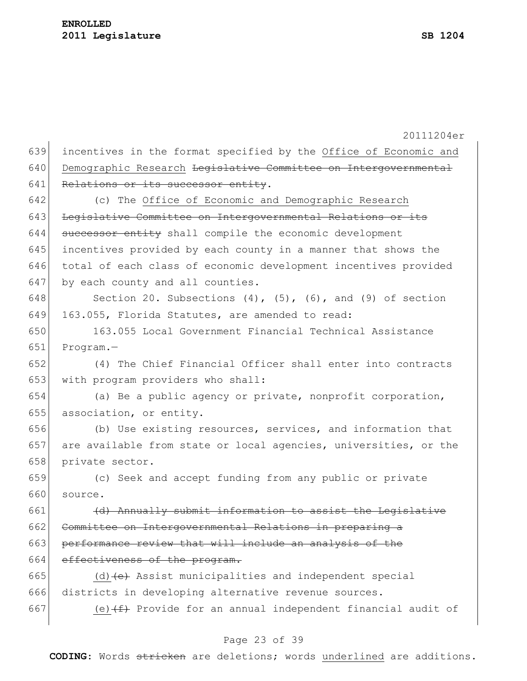20111204er incentives in the format specified by the Office of Economic and 640 Demographic Research Legislative Committee on Intergovernmental Relations or its successor entity. (c) The Office of Economic and Demographic Research 643 Legislative Committee on Intergovernmental Relations or its 644 successor entity shall compile the economic development incentives provided by each county in a manner that shows the total of each class of economic development incentives provided 647 by each county and all counties. 648 Section 20. Subsections  $(4)$ ,  $(5)$ ,  $(6)$ , and  $(9)$  of section 163.055, Florida Statutes, are amended to read: 163.055 Local Government Financial Technical Assistance Program.— (4) The Chief Financial Officer shall enter into contracts 653 with program providers who shall: (a) Be a public agency or private, nonprofit corporation, association, or entity. (b) Use existing resources, services, and information that

657 are available from state or local agencies, universities, or the 658 private sector.

659 (c) Seek and accept funding from any public or private 660 source.

661  $(d)$  Annually submit information to assist the Legislative 662 Committee on Intergovernmental Relations in preparing a 663 performance review that will include an analysis of the 664 effectiveness of the program.

665 (d)  $\left( e \right)$  Assist municipalities and independent special 666 districts in developing alternative revenue sources. 667 (e) $(f)$  Provide for an annual independent financial audit of

#### Page 23 of 39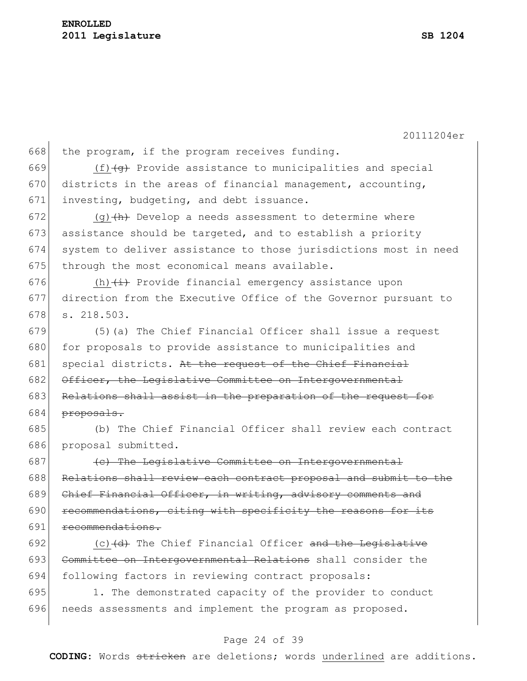668 the program, if the program receives funding. 669  $(f)$  (f) Provide assistance to municipalities and special 670 districts in the areas of financial management, accounting, 671 investing, budgeting, and debt issuance. 672 (g)  $\left(\theta\right)$  Develop a needs assessment to determine where  $673$  assistance should be targeted, and to establish a priority 674 system to deliver assistance to those jurisdictions most in need  $675$  through the most economical means available. 676  $(h)$   $(\pm)$  Provide financial emergency assistance upon 677 direction from the Executive Office of the Governor pursuant to 678 s. 218.503. 679 (5)(a) The Chief Financial Officer shall issue a request 680 for proposals to provide assistance to municipalities and 681 special districts. At the request of the Chief Financial 682 Officer, the Legislative Committee on Intergovernmental 683 Relations shall assist in the preparation of the request for 684 <del>proposals.</del> 685 (b) The Chief Financial Officer shall review each contract 686 proposal submitted.  $687$  (c) The Legislative Committee on Intergovernmental 688 Relations shall review each contract proposal and submit to the 689 Chief Financial Officer, in writing, advisory comments and 690 recommendations, citing with specificity the reasons for its 691 recommendations. 692  $(c)$  (c)  $(d)$  The Chief Financial Officer and the Legislative 693 Committee on Intergovernmental Relations shall consider the

695 1. The demonstrated capacity of the provider to conduct 696 needs assessments and implement the program as proposed.

694 following factors in reviewing contract proposals:

#### Page 24 of 39

**CODING**: Words stricken are deletions; words underlined are additions.

20111204er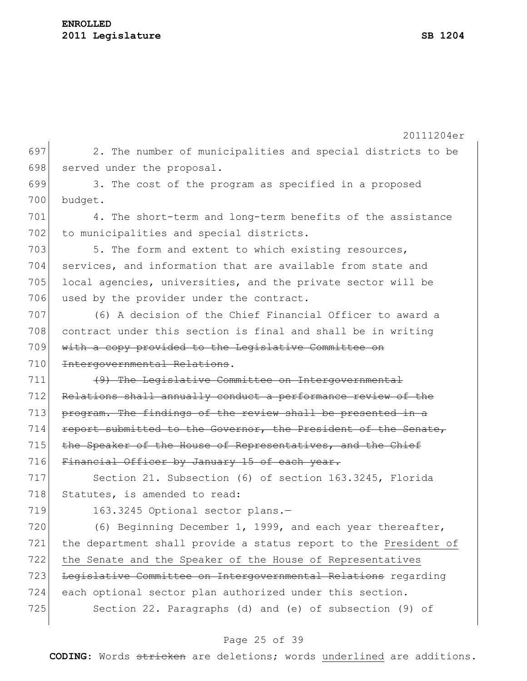20111204er 697 2. The number of municipalities and special districts to be 698 served under the proposal. 699 3. The cost of the program as specified in a proposed 700 budget. 701 4. The short-term and long-term benefits of the assistance 702 to municipalities and special districts. 703 5. The form and extent to which existing resources, 704 services, and information that are available from state and 705 local agencies, universities, and the private sector will be 706 used by the provider under the contract. 707 (6) A decision of the Chief Financial Officer to award a 708 contract under this section is final and shall be in writing 709 with a copy provided to the Legislative Committee on 710 Intergovernmental Relations. 711 (9) The Legislative Committee on Intergovernmental 712 Relations shall annually conduct a performance review of the  $713$  program. The findings of the review shall be presented in a 714 report submitted to the Governor, the President of the Senate, 715 the Speaker of the House of Representatives, and the Chief 716 Financial Officer by January 15 of each year. 717 Section 21. Subsection (6) of section 163.3245, Florida 718 Statutes, is amended to read: 719 163.3245 Optional sector plans.-720  $(6)$  Beginning December 1, 1999, and each year thereafter, 721 the department shall provide a status report to the President of 722 the Senate and the Speaker of the House of Representatives 723 Legislative Committee on Intergovernmental Relations regarding 724 each optional sector plan authorized under this section. 725 Section 22. Paragraphs (d) and (e) of subsection (9) of

#### Page 25 of 39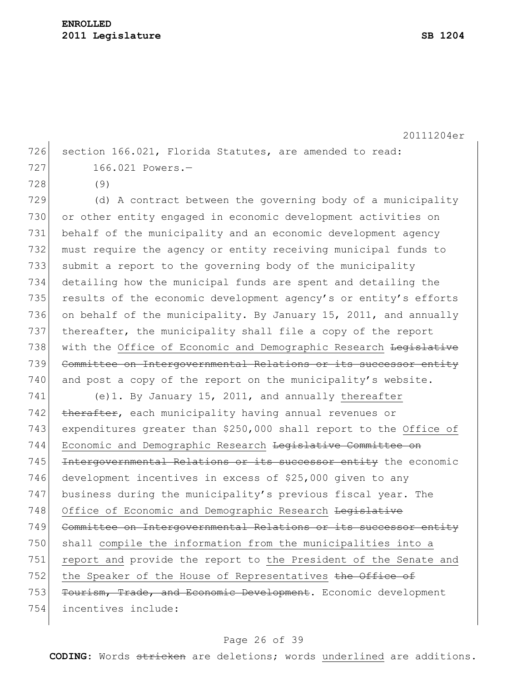726 section 166.021, Florida Statutes, are amended to read: 727 166.021 Powers.

728 (9)

729  $\vert$  (d) A contract between the governing body of a municipality 730 or other entity engaged in economic development activities on 731 behalf of the municipality and an economic development agency 732 must require the agency or entity receiving municipal funds to 733 submit a report to the governing body of the municipality 734 detailing how the municipal funds are spent and detailing the 735 results of the economic development agency's or entity's efforts 736 on behalf of the municipality. By January 15, 2011, and annually 737 thereafter, the municipality shall file a copy of the report 738 with the Office of Economic and Demographic Research Legislative 739 Committee on Intergovernmental Relations or its successor entity  $740$  and post a copy of the report on the municipality's website.

741 (e)1. By January 15, 2011, and annually thereafter 742 therafter, each municipality having annual revenues or 743 expenditures greater than \$250,000 shall report to the Office of 744 Economic and Demographic Research Legislative Committee on 745 Intergovernmental Relations or its successor entity the economic 746 development incentives in excess of \$25,000 given to any 747 business during the municipality's previous fiscal year. The 748 Office of Economic and Demographic Research Legislative 749 Committee on Intergovernmental Relations or its successor entity 750 shall compile the information from the municipalities into a 751 report and provide the report to the President of the Senate and 752 the Speaker of the House of Representatives the Office of 753 Tourism, Trade, and Economic Development. Economic development 754 incentives include:

#### Page 26 of 39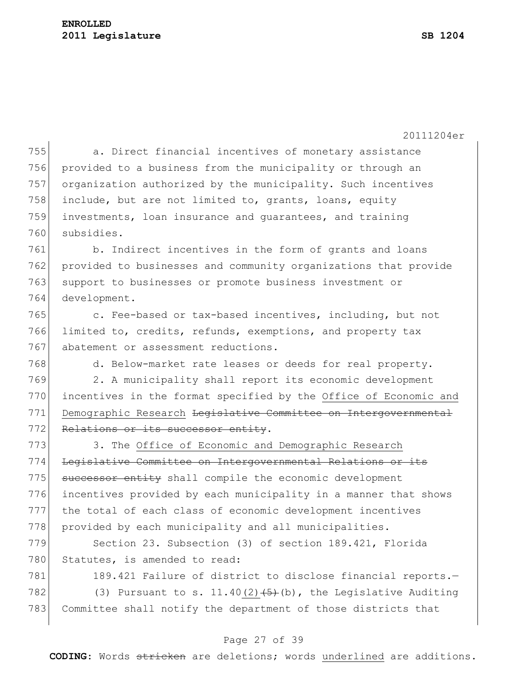### **ENROLLED 2011 Legislature SB 1204**

20111204er

 a. Direct financial incentives of monetary assistance provided to a business from the municipality or through an organization authorized by the municipality. Such incentives 758 include, but are not limited to, grants, loans, equity investments, loan insurance and guarantees, and training subsidies.

 b. Indirect incentives in the form of grants and loans provided to businesses and community organizations that provide support to businesses or promote business investment or development.

765 c. Fee-based or tax-based incentives, including, but not 766 limited to, credits, refunds, exemptions, and property tax 767 abatement or assessment reductions.

768 d. Below-market rate leases or deeds for real property.

769 2. A municipality shall report its economic development 770 incentives in the format specified by the Office of Economic and 771 Demographic Research Legislative Committee on Intergovernmental 772 Relations or its successor entity.

773 3. The Office of Economic and Demographic Research 774 Legislative Committee on Intergovernmental Relations or its 775 successor entity shall compile the economic development 776 incentives provided by each municipality in a manner that shows 777 the total of each class of economic development incentives 778 provided by each municipality and all municipalities.

779 Section 23. Subsection (3) of section 189.421, Florida 780 Statutes, is amended to read:

781 189.421 Failure of district to disclose financial reports.-782 (3) Pursuant to s. 11.40(2) $(5)$  (b), the Legislative Auditing 783 Committee shall notify the department of those districts that

#### Page 27 of 39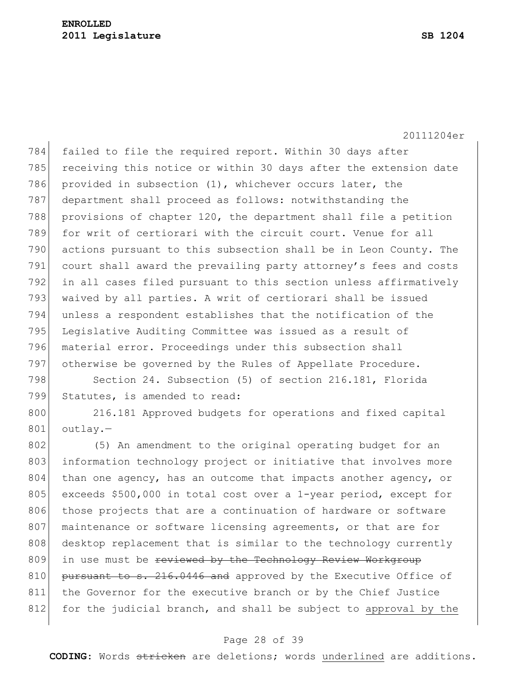784 failed to file the required report. Within 30 days after 785 receiving this notice or within 30 days after the extension date 786 provided in subsection (1), whichever occurs later, the 787 department shall proceed as follows: notwithstanding the 788 provisions of chapter 120, the department shall file a petition 789 for writ of certiorari with the circuit court. Venue for all 790 actions pursuant to this subsection shall be in Leon County. The 791 court shall award the prevailing party attorney's fees and costs 792 in all cases filed pursuant to this section unless affirmatively 793 waived by all parties. A writ of certiorari shall be issued 794 unless a respondent establishes that the notification of the 795 Legislative Auditing Committee was issued as a result of 796 material error. Proceedings under this subsection shall 797 otherwise be governed by the Rules of Appellate Procedure.

798 Section 24. Subsection (5) of section 216.181, Florida 799 Statutes, is amended to read:

800 216.181 Approved budgets for operations and fixed capital  $801$  outlay.-

802 (5) An amendment to the original operating budget for an 803 information technology project or initiative that involves more 804 than one agency, has an outcome that impacts another agency, or 805 exceeds \$500,000 in total cost over a 1-year period, except for 806 those projects that are a continuation of hardware or software 807 maintenance or software licensing agreements, or that are for 808 desktop replacement that is similar to the technology currently 809 in use must be reviewed by the Technology Review Workgroup 810 pursuant to s. 216.0446 and approved by the Executive Office of 811 the Governor for the executive branch or by the Chief Justice 812 for the judicial branch, and shall be subject to approval by the

#### Page 28 of 39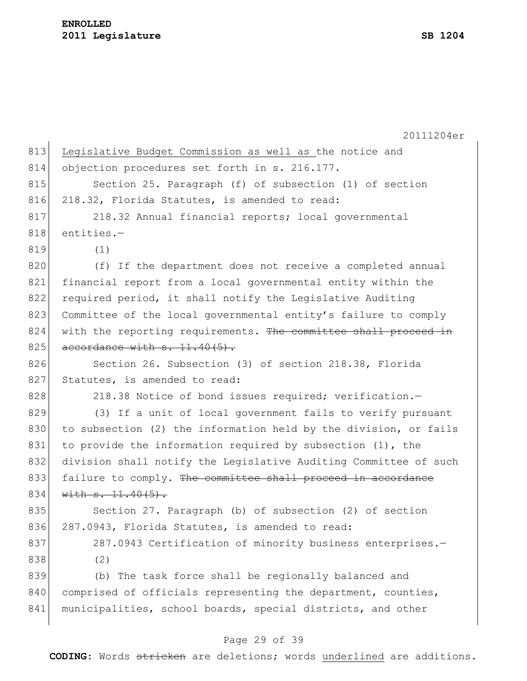20111204er 813 Legislative Budget Commission as well as the notice and 814 objection procedures set forth in s. 216.177. 815 Section 25. Paragraph (f) of subsection (1) of section 816 218.32, Florida Statutes, is amended to read: 817 218.32 Annual financial reports; local governmental 818 entities.-819 (1) 820 (f) If the department does not receive a completed annual 821 financial report from a local governmental entity within the 822 required period, it shall notify the Legislative Auditing 823 Committee of the local governmental entity's failure to comply 824 with the reporting requirements. The committee shall proceed in  $825$  accordance with  $s. 11.40(5)$ . 826 Section 26. Subsection (3) of section 218.38, Florida 827 Statutes, is amended to read: 828 218.38 Notice of bond issues required; verification. 829 (3) If a unit of local government fails to verify pursuant 830 to subsection (2) the information held by the division, or fails 831 to provide the information required by subsection (1), the 832 division shall notify the Legislative Auditing Committee of such 833 failure to comply. The committee shall proceed in accordance  $834$  with  $s. 11.40(5)$ . 835 Section 27. Paragraph (b) of subsection (2) of section 836 287.0943, Florida Statutes, is amended to read: 837 287.0943 Certification of minority business enterprises.-838 (2) 839 (b) The task force shall be regionally balanced and 840 comprised of officials representing the department, counties, 841 municipalities, school boards, special districts, and other

#### Page 29 of 39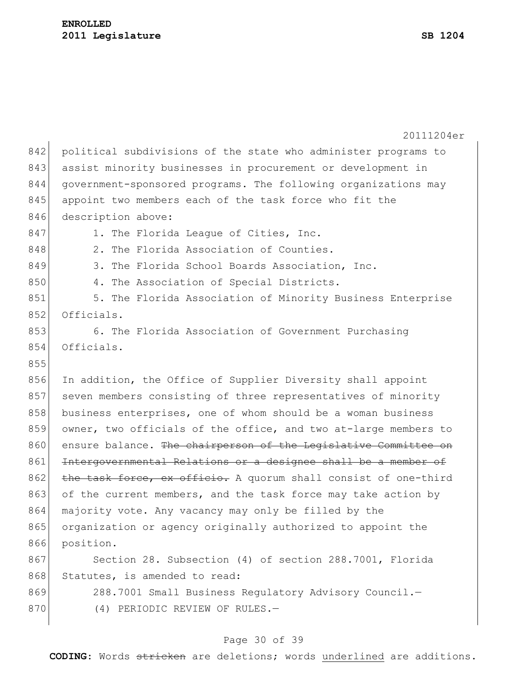|     | 20111204er                                                      |  |  |  |  |  |
|-----|-----------------------------------------------------------------|--|--|--|--|--|
| 842 | political subdivisions of the state who administer programs to  |  |  |  |  |  |
| 843 | assist minority businesses in procurement or development in     |  |  |  |  |  |
| 844 | government-sponsored programs. The following organizations may  |  |  |  |  |  |
| 845 | appoint two members each of the task force who fit the          |  |  |  |  |  |
| 846 | description above:                                              |  |  |  |  |  |
| 847 | 1. The Florida League of Cities, Inc.                           |  |  |  |  |  |
| 848 | 2. The Florida Association of Counties.                         |  |  |  |  |  |
| 849 | 3. The Florida School Boards Association, Inc.                  |  |  |  |  |  |
| 850 | 4. The Association of Special Districts.                        |  |  |  |  |  |
| 851 | 5. The Florida Association of Minority Business Enterprise      |  |  |  |  |  |
| 852 | Officials.                                                      |  |  |  |  |  |
| 853 | 6. The Florida Association of Government Purchasing             |  |  |  |  |  |
| 854 | Officials.                                                      |  |  |  |  |  |
| 855 |                                                                 |  |  |  |  |  |
| 856 | In addition, the Office of Supplier Diversity shall appoint     |  |  |  |  |  |
| 857 | seven members consisting of three representatives of minority   |  |  |  |  |  |
| 858 | business enterprises, one of whom should be a woman business    |  |  |  |  |  |
| 859 | owner, two officials of the office, and two at-large members to |  |  |  |  |  |
| 860 | ensure balance. The chairperson of the Legislative Committee on |  |  |  |  |  |
| 861 | Intergovernmental Relations or a designee shall be a member of  |  |  |  |  |  |
| 862 | the task force, ex officio. A quorum shall consist of one-third |  |  |  |  |  |
| 863 | of the current members, and the task force may take action by   |  |  |  |  |  |
| 864 | majority vote. Any vacancy may only be filled by the            |  |  |  |  |  |
| 865 | organization or agency originally authorized to appoint the     |  |  |  |  |  |
| 866 | position.                                                       |  |  |  |  |  |
| 867 | Section 28. Subsection (4) of section 288.7001, Florida         |  |  |  |  |  |
| 868 | Statutes, is amended to read:                                   |  |  |  |  |  |
| 869 | 288.7001 Small Business Regulatory Advisory Council.-           |  |  |  |  |  |
| 870 | (4) PERIODIC REVIEW OF RULES.-                                  |  |  |  |  |  |
|     |                                                                 |  |  |  |  |  |

# Page 30 of 39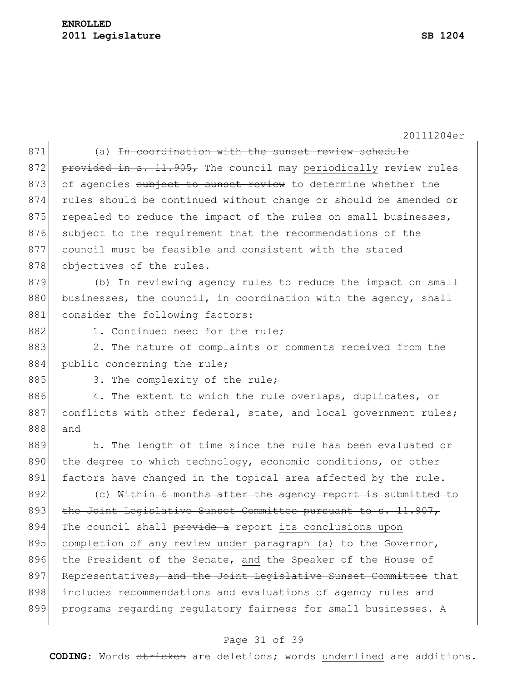### **ENROLLED Legislature SB 1204**

20111204er

| 871 | (a) <del>In coordination with the sunset review schedule</del>   |  |  |  |
|-----|------------------------------------------------------------------|--|--|--|
| 872 | provided in s. 11.905, The council may periodically review rules |  |  |  |
| 873 | of agencies subject to sunset review to determine whether the    |  |  |  |
| 874 | rules should be continued without change or should be amended or |  |  |  |
| 875 | repealed to reduce the impact of the rules on small businesses,  |  |  |  |
| 876 | subject to the requirement that the recommendations of the       |  |  |  |
| 877 | council must be feasible and consistent with the stated          |  |  |  |
| 878 | objectives of the rules.                                         |  |  |  |
| 879 | (b) In reviewing agency rules to reduce the impact on small      |  |  |  |
| 880 | businesses, the council, in coordination with the agency, shall  |  |  |  |
| 881 | consider the following factors:                                  |  |  |  |
| 882 | 1. Continued need for the rule;                                  |  |  |  |
| 883 | 2. The nature of complaints or comments received from the        |  |  |  |
| 884 | public concerning the rule;                                      |  |  |  |
| 885 | 3. The complexity of the rule;                                   |  |  |  |
| 886 | 4. The extent to which the rule overlaps, duplicates, or         |  |  |  |
| 887 | conflicts with other federal, state, and local government rules; |  |  |  |
| 888 | and                                                              |  |  |  |
| 889 | 5. The length of time since the rule has been evaluated or       |  |  |  |
| 890 | the degree to which technology, economic conditions, or other    |  |  |  |
| 891 | factors have changed in the topical area affected by the rule.   |  |  |  |
| 892 | (c) Within 6 months after the agency report is submitted to      |  |  |  |
| 893 | the Joint Legislative Sunset Committee pursuant to s. 11.907,    |  |  |  |
| 894 | The council shall provide a report its conclusions upon          |  |  |  |
| 895 | completion of any review under paragraph (a) to the Governor,    |  |  |  |
| 896 | the President of the Senate, and the Speaker of the House of     |  |  |  |
| 897 | Representatives, and the Joint Legislative Sunset Committee that |  |  |  |
| 898 | includes recommendations and evaluations of agency rules and     |  |  |  |
| 899 | programs regarding regulatory fairness for small businesses. A   |  |  |  |
|     |                                                                  |  |  |  |

# Page 31 of 39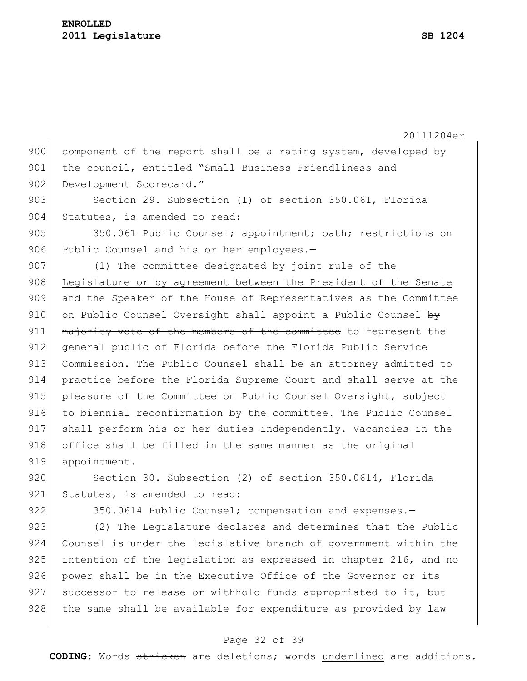20111204er 900 component of the report shall be a rating system, developed by 901 the council, entitled "Small Business Friendliness and 902 Development Scorecard." 903 Section 29. Subsection (1) of section 350.061, Florida 904 Statutes, is amended to read: 905 350.061 Public Counsel; appointment; oath; restrictions on 906 Public Counsel and his or her employees.-907 (1) The committee designated by joint rule of the 908 Legislature or by agreement between the President of the Senate 909 and the Speaker of the House of Representatives as the Committee 910 on Public Counsel Oversight shall appoint a Public Counsel by 911 majority vote of the members of the committee to represent the 912 general public of Florida before the Florida Public Service 913 Commission. The Public Counsel shall be an attorney admitted to 914 practice before the Florida Supreme Court and shall serve at the 915 pleasure of the Committee on Public Counsel Oversight, subject 916 to biennial reconfirmation by the committee. The Public Counsel 917 shall perform his or her duties independently. Vacancies in the 918 office shall be filled in the same manner as the original 919 appointment. 920 Section 30. Subsection (2) of section 350.0614, Florida 921 Statutes, is amended to read: 922 350.0614 Public Counsel; compensation and expenses.-923 (2) The Legislature declares and determines that the Public 924 Counsel is under the legislative branch of government within the 925 intention of the legislation as expressed in chapter 216, and no 926 power shall be in the Executive Office of the Governor or its 927 successor to release or withhold funds appropriated to it, but 928 the same shall be available for expenditure as provided by law

#### Page 32 of 39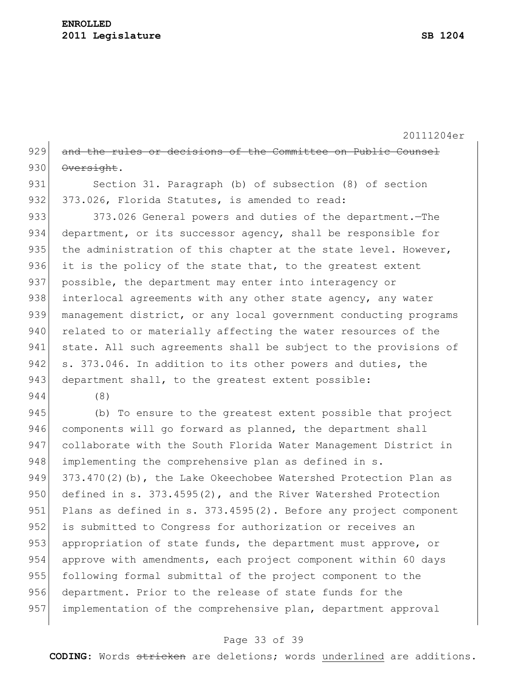20111204er 929 and the rules or decisions of the Committee on Public Counsel 930 Oversight.

931 Section 31. Paragraph (b) of subsection (8) of section 932 373.026, Florida Statutes, is amended to read:

933 373.026 General powers and duties of the department.—The 934 department, or its successor agency, shall be responsible for 935 the administration of this chapter at the state level. However, 936 it is the policy of the state that, to the greatest extent 937 possible, the department may enter into interagency or 938 interlocal agreements with any other state agency, any water 939 management district, or any local government conducting programs 940 related to or materially affecting the water resources of the 941 state. All such agreements shall be subject to the provisions of 942 s. 373.046. In addition to its other powers and duties, the 943 department shall, to the greatest extent possible:

944 (8)

945 (b) To ensure to the greatest extent possible that project 946 components will go forward as planned, the department shall 947 collaborate with the South Florida Water Management District in 948 implementing the comprehensive plan as defined in s. 949 373.470(2)(b), the Lake Okeechobee Watershed Protection Plan as 950 defined in s. 373.4595(2), and the River Watershed Protection 951 Plans as defined in s. 373.4595(2). Before any project component 952 is submitted to Congress for authorization or receives an 953 appropriation of state funds, the department must approve, or 954 approve with amendments, each project component within 60 days 955 following formal submittal of the project component to the 956 department. Prior to the release of state funds for the 957 implementation of the comprehensive plan, department approval

#### Page 33 of 39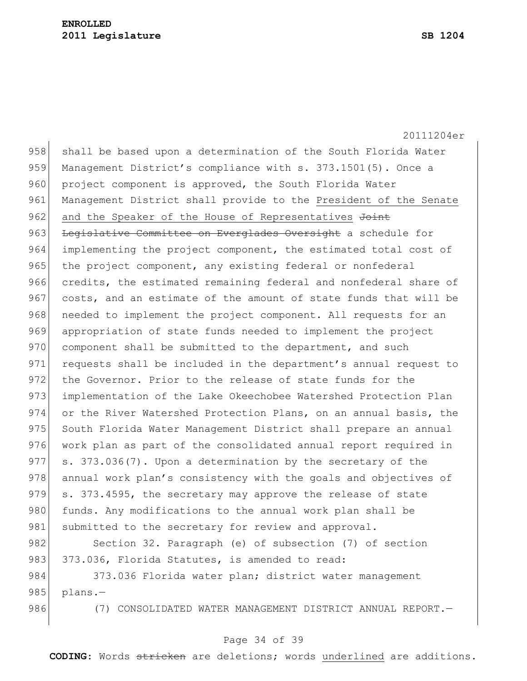20111204er 958 shall be based upon a determination of the South Florida Water 959 Management District's compliance with s. 373.1501(5). Once a 960 project component is approved, the South Florida Water 961 Management District shall provide to the President of the Senate 962 and the Speaker of the House of Representatives Joint 963 Legislative Committee on Everglades Oversight a schedule for 964 implementing the project component, the estimated total cost of 965 the project component, any existing federal or nonfederal 966 credits, the estimated remaining federal and nonfederal share of 967 costs, and an estimate of the amount of state funds that will be 968 needed to implement the project component. All requests for an 969 appropriation of state funds needed to implement the project 970 component shall be submitted to the department, and such 971 requests shall be included in the department's annual request to 972 the Governor. Prior to the release of state funds for the 973 implementation of the Lake Okeechobee Watershed Protection Plan 974 or the River Watershed Protection Plans, on an annual basis, the 975 South Florida Water Management District shall prepare an annual 976 work plan as part of the consolidated annual report required in 977 s. 373.036(7). Upon a determination by the secretary of the 978 annual work plan's consistency with the goals and objectives of 979 s. 373.4595, the secretary may approve the release of state 980 funds. Any modifications to the annual work plan shall be 981 submitted to the secretary for review and approval. 982 Section 32. Paragraph (e) of subsection (7) of section 983 373.036, Florida Statutes, is amended to read:

984 373.036 Florida water plan; district water management 985 plans. $-$ 

986 (7) CONSOLIDATED WATER MANAGEMENT DISTRICT ANNUAL REPORT.

#### Page 34 of 39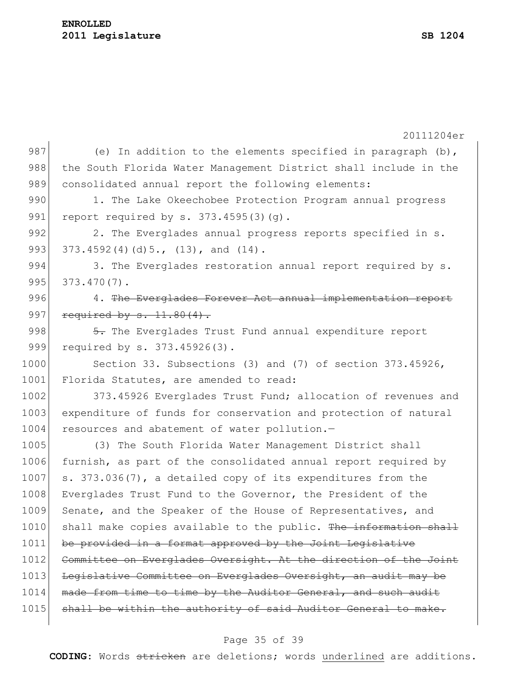|      | 20111204er                                                       |  |  |  |  |
|------|------------------------------------------------------------------|--|--|--|--|
| 987  | (e) In addition to the elements specified in paragraph $(b)$ ,   |  |  |  |  |
| 988  | the South Florida Water Management District shall include in the |  |  |  |  |
| 989  | consolidated annual report the following elements:               |  |  |  |  |
| 990  | 1. The Lake Okeechobee Protection Program annual progress        |  |  |  |  |
| 991  | report required by s. $373.4595(3)(q)$ .                         |  |  |  |  |
| 992  | 2. The Everglades annual progress reports specified in s.        |  |  |  |  |
| 993  | 373.4592(4)(d)5., (13), and (14).                                |  |  |  |  |
| 994  | 3. The Everglades restoration annual report required by s.       |  |  |  |  |
| 995  | $373.470(7)$ .                                                   |  |  |  |  |
| 996  | 4. The Everglades Forever Act annual implementation report       |  |  |  |  |
| 997  | required by $s. 11.80(4)$ .                                      |  |  |  |  |
| 998  | 5. The Everglades Trust Fund annual expenditure report           |  |  |  |  |
| 999  | required by s. 373.45926(3).                                     |  |  |  |  |
| 1000 | Section 33. Subsections (3) and (7) of section 373.45926,        |  |  |  |  |
| 1001 | Florida Statutes, are amended to read:                           |  |  |  |  |
| 1002 | 373.45926 Everglades Trust Fund; allocation of revenues and      |  |  |  |  |
| 1003 | expenditure of funds for conservation and protection of natural  |  |  |  |  |
| 1004 | resources and abatement of water pollution.-                     |  |  |  |  |
| 1005 | (3) The South Florida Water Management District shall            |  |  |  |  |
| 1006 | furnish, as part of the consolidated annual report required by   |  |  |  |  |
| 1007 | s. 373.036(7), a detailed copy of its expenditures from the      |  |  |  |  |
| 1008 | Everglades Trust Fund to the Governor, the President of the      |  |  |  |  |
| 1009 | Senate, and the Speaker of the House of Representatives, and     |  |  |  |  |
| 1010 | shall make copies available to the public. The information shall |  |  |  |  |
| 1011 | be provided in a format approved by the Joint Legislative        |  |  |  |  |
| 1012 | Committee on Everglades Oversight. At the direction of the Joint |  |  |  |  |
| 1013 | Legislative Committee on Everglades Oversight, an audit may be   |  |  |  |  |
| 1014 | made from time to time by the Auditor General, and such audit    |  |  |  |  |
| 1015 | shall be within the authority of said Auditor General to make.   |  |  |  |  |
|      |                                                                  |  |  |  |  |

# Page 35 of 39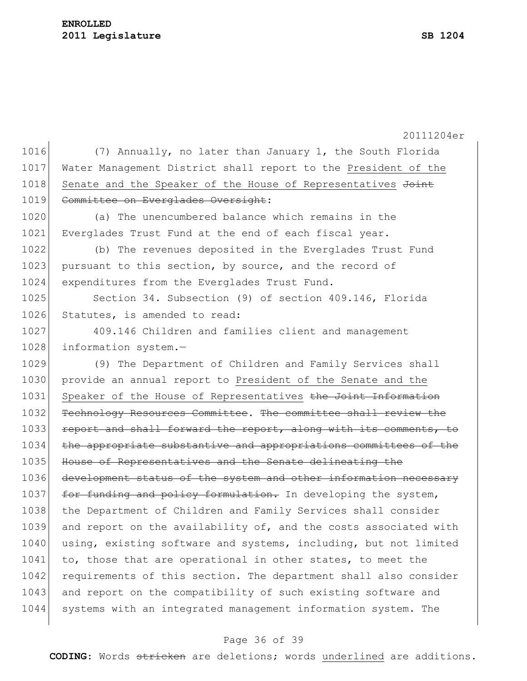### **ENROLLED 2011 Legislature SB 1204**

20111204er 1016 (7) Annually, no later than January 1, the South Florida 1017 Water Management District shall report to the President of the 1018 Senate and the Speaker of the House of Representatives Joint 1019 Committee on Everglades Oversight: 1020 (a) The unencumbered balance which remains in the 1021 Everglades Trust Fund at the end of each fiscal year. 1022 (b) The revenues deposited in the Everglades Trust Fund 1023 pursuant to this section, by source, and the record of 1024 expenditures from the Everglades Trust Fund. 1025 Section 34. Subsection (9) of section 409.146, Florida 1026 Statutes, is amended to read: 1027 409.146 Children and families client and management 1028 information system.-1029 (9) The Department of Children and Family Services shall 1030 provide an annual report to President of the Senate and the 1031 Speaker of the House of Representatives the Joint Information 1032 Technology Resources Committee. The committee shall review the 1033 report and shall forward the report, along with its comments, to 1034 the appropriate substantive and appropriations committees of the 1035 House of Representatives and the Senate delineating the 1036 development status of the system and other information necessary 1037 for funding and policy formulation. In developing the system, 1038 the Department of Children and Family Services shall consider 1039 and report on the availability of, and the costs associated with 1040 using, existing software and systems, including, but not limited 1041 to, those that are operational in other states, to meet the 1042 requirements of this section. The department shall also consider 1043 and report on the compatibility of such existing software and 1044 systems with an integrated management information system. The

#### Page 36 of 39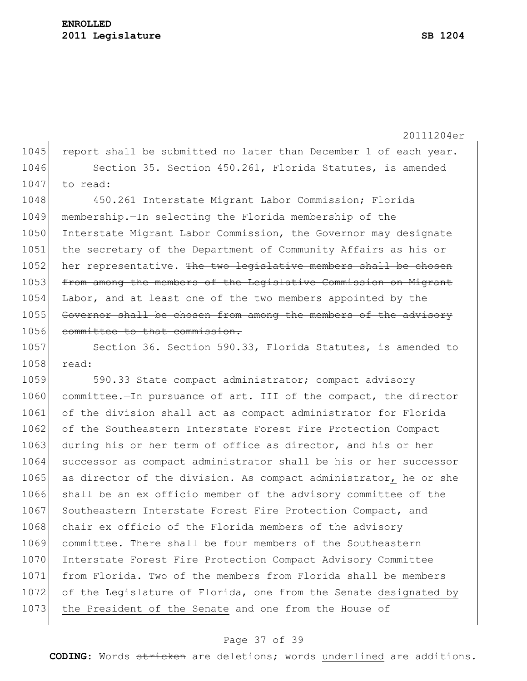1045 report shall be submitted no later than December 1 of each year. 1046 Section 35. Section 450.261, Florida Statutes, is amended 1047 to read: 1048 450.261 Interstate Migrant Labor Commission; Florida 1049 membership.—In selecting the Florida membership of the 1050 Interstate Migrant Labor Commission, the Governor may designate 1051 the secretary of the Department of Community Affairs as his or 1052 her representative. The two legislative members shall be chosen 1053 from among the members of the Legislative Commission on Migrant 1054 Labor, and at least one of the two members appointed by the 1055 Governor shall be chosen from among the members of the advisory 1056 committee to that commission. 1057 Section 36. Section 590.33, Florida Statutes, is amended to 1058 read: 1059 590.33 State compact administrator; compact advisory 1060 committee.—In pursuance of art. III of the compact, the director 1061 of the division shall act as compact administrator for Florida 1062 of the Southeastern Interstate Forest Fire Protection Compact 1063 during his or her term of office as director, and his or her 1064 successor as compact administrator shall be his or her successor 1065 as director of the division. As compact administrator, he or she 1066 shall be an ex officio member of the advisory committee of the 1067 Southeastern Interstate Forest Fire Protection Compact, and 1068 chair ex officio of the Florida members of the advisory 1069 committee. There shall be four members of the Southeastern 1070 Interstate Forest Fire Protection Compact Advisory Committee 1071 from Florida. Two of the members from Florida shall be members 1072 of the Legislature of Florida, one from the Senate designated by 1073 the President of the Senate and one from the House of

#### Page 37 of 39

**CODING**: Words stricken are deletions; words underlined are additions.

20111204er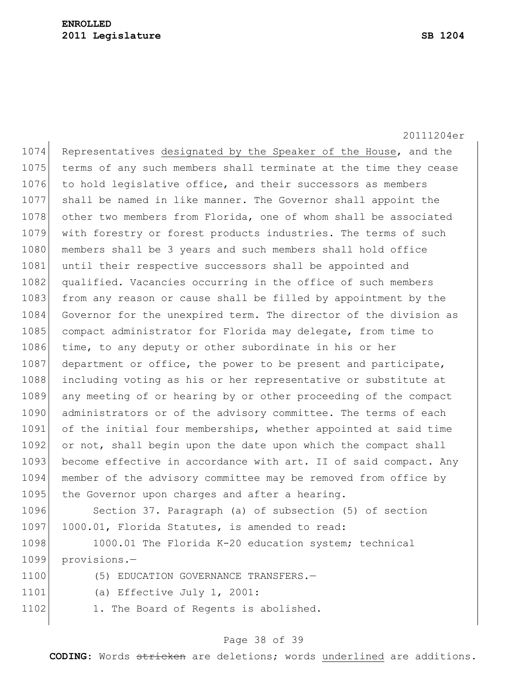20111204er 1074 Representatives designated by the Speaker of the House, and the 1075 terms of any such members shall terminate at the time they cease 1076 to hold legislative office, and their successors as members 1077 shall be named in like manner. The Governor shall appoint the 1078 other two members from Florida, one of whom shall be associated 1079 with forestry or forest products industries. The terms of such 1080 members shall be 3 years and such members shall hold office 1081 until their respective successors shall be appointed and 1082 qualified. Vacancies occurring in the office of such members 1083 from any reason or cause shall be filled by appointment by the 1084 Governor for the unexpired term. The director of the division as 1085 compact administrator for Florida may delegate, from time to 1086 time, to any deputy or other subordinate in his or her 1087 department or office, the power to be present and participate, 1088 including voting as his or her representative or substitute at 1089 any meeting of or hearing by or other proceeding of the compact 1090 administrators or of the advisory committee. The terms of each 1091 of the initial four memberships, whether appointed at said time 1092 or not, shall begin upon the date upon which the compact shall 1093 become effective in accordance with art. II of said compact. Any 1094 member of the advisory committee may be removed from office by 1095 the Governor upon charges and after a hearing.

1096 Section 37. Paragraph (a) of subsection (5) of section 1097 1000.01, Florida Statutes, is amended to read:

1098 1000.01 The Florida K-20 education system; technical 1099 provisions.—

| 1100 |  |  |  | (5) EDUCATION GOVERNANCE TRANSFERS.- |
|------|--|--|--|--------------------------------------|
|------|--|--|--|--------------------------------------|

- 1101 (a) Effective July 1, 2001:
- 1102 1. The Board of Regents is abolished.

#### Page 38 of 39